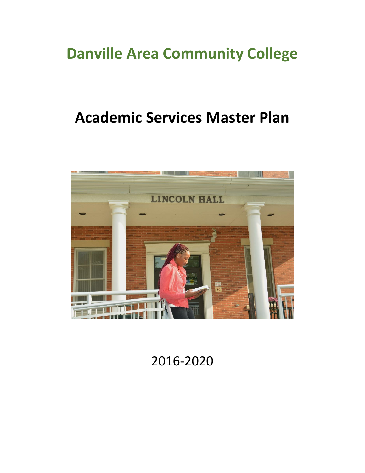# **Danville Area Community College**

# **Academic Services Master Plan**



2016-2020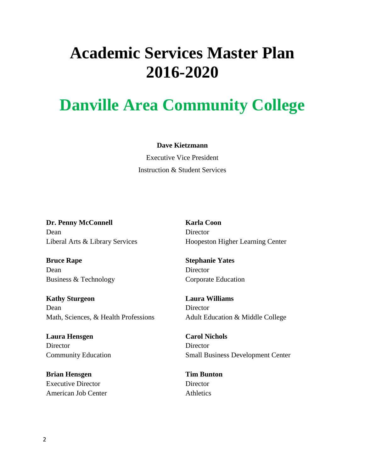# **Academic Services Master Plan 2016-2020**

# **Danville Area Community College**

#### **Dave Kietzmann**

Executive Vice President Instruction & Student Services

**Dr. Penny McConnell** Dean Liberal Arts & Library Services

**Bruce Rape** Dean Business & Technology

**Kathy Sturgeon** Dean Math, Sciences, & Health Professions

**Laura Hensgen Director** Community Education

**Brian Hensgen** Executive Director American Job Center **Karla Coon Director** Hoopeston Higher Learning Center

**Stephanie Yates Director** Corporate Education

**Laura Williams Director** Adult Education & Middle College

**Carol Nichols Director** Small Business Development Center

**Tim Bunton Director Athletics**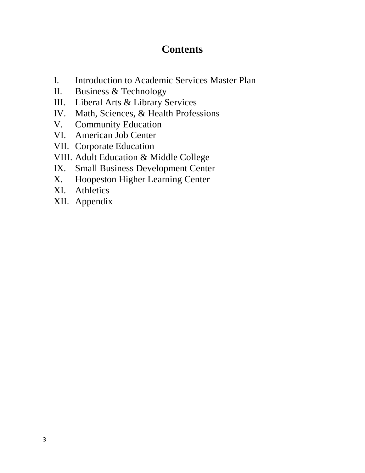#### **Contents**

- I. Introduction to Academic Services Master Plan
- II. Business & Technology
- III. Liberal Arts & Library Services
- IV. Math, Sciences, & Health Professions
- V. Community Education
- VI. American Job Center
- VII. Corporate Education
- VIII. Adult Education & Middle College
- IX. Small Business Development Center
- X. Hoopeston Higher Learning Center
- XI. Athletics
- XII. Appendix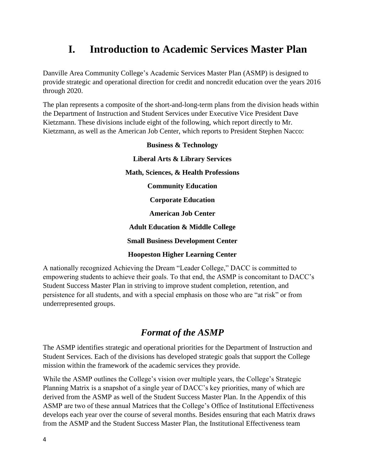#### **I. Introduction to Academic Services Master Plan**

Danville Area Community College's Academic Services Master Plan (ASMP) is designed to provide strategic and operational direction for credit and noncredit education over the years 2016 through 2020.

The plan represents a composite of the short-and-long-term plans from the division heads within the Department of Instruction and Student Services under Executive Vice President Dave Kietzmann. These divisions include eight of the following, which report directly to Mr. Kietzmann, as well as the American Job Center, which reports to President Stephen Nacco:

| <b>Business &amp; Technology</b>            |
|---------------------------------------------|
| <b>Liberal Arts &amp; Library Services</b>  |
| Math, Sciences, & Health Professions        |
| <b>Community Education</b>                  |
| <b>Corporate Education</b>                  |
| <b>American Job Center</b>                  |
| <b>Adult Education &amp; Middle College</b> |
| <b>Small Business Development Center</b>    |
| <b>Hoopeston Higher Learning Center</b>     |
|                                             |

A nationally recognized Achieving the Dream "Leader College," DACC is committed to empowering students to achieve their goals. To that end, the ASMP is concomitant to DACC's Student Success Master Plan in striving to improve student completion, retention, and persistence for all students, and with a special emphasis on those who are "at risk" or from underrepresented groups.

#### *Format of the ASMP*

The ASMP identifies strategic and operational priorities for the Department of Instruction and Student Services. Each of the divisions has developed strategic goals that support the College mission within the framework of the academic services they provide.

While the ASMP outlines the College's vision over multiple years, the College's Strategic Planning Matrix is a snapshot of a single year of DACC's key priorities, many of which are derived from the ASMP as well of the Student Success Master Plan. In the Appendix of this ASMP are two of these annual Matrices that the College's Office of Institutional Effectiveness develops each year over the course of several months. Besides ensuring that each Matrix draws from the ASMP and the Student Success Master Plan, the Institutional Effectiveness team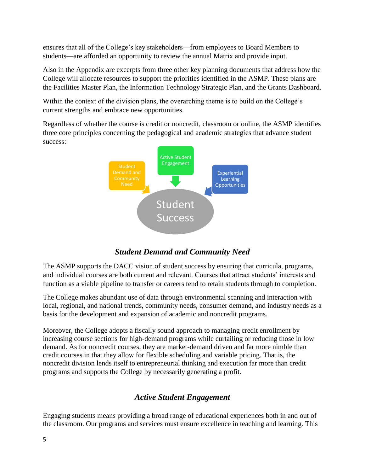ensures that all of the College's key stakeholders—from employees to Board Members to students—are afforded an opportunity to review the annual Matrix and provide input.

Also in the Appendix are excerpts from three other key planning documents that address how the College will allocate resources to support the priorities identified in the ASMP. These plans are the Facilities Master Plan, the Information Technology Strategic Plan, and the Grants Dashboard.

Within the context of the division plans, the overarching theme is to build on the College's current strengths and embrace new opportunities.

Regardless of whether the course is credit or noncredit, classroom or online, the ASMP identifies three core principles concerning the pedagogical and academic strategies that advance student success:



#### *Student Demand and Community Need*

The ASMP supports the DACC vision of student success by ensuring that curricula, programs, and individual courses are both current and relevant. Courses that attract students' interests and function as a viable pipeline to transfer or careers tend to retain students through to completion.

The College makes abundant use of data through environmental scanning and interaction with local, regional, and national trends, community needs, consumer demand, and industry needs as a basis for the development and expansion of academic and noncredit programs.

Moreover, the College adopts a fiscally sound approach to managing credit enrollment by increasing course sections for high-demand programs while curtailing or reducing those in low demand. As for noncredit courses, they are market-demand driven and far more nimble than credit courses in that they allow for flexible scheduling and variable pricing. That is, the noncredit division lends itself to entrepreneurial thinking and execution far more than credit programs and supports the College by necessarily generating a profit.

#### *Active Student Engagement*

Engaging students means providing a broad range of educational experiences both in and out of the classroom. Our programs and services must ensure excellence in teaching and learning. This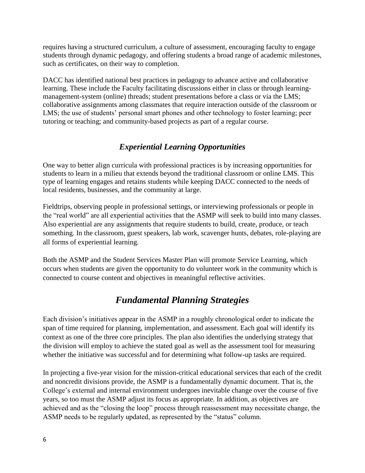requires having a structured curriculum, a culture of assessment, encouraging faculty to engage students through dynamic pedagogy, and offering students a broad range of academic milestones, such as certificates, on their way to completion.

DACC has identified national best practices in pedagogy to advance active and collaborative learning. These include the Faculty facilitating discussions either in class or through learningmanagement-system (online) threads; student presentations before a class or via the LMS; collaborative assignments among classmates that require interaction outside of the classroom or LMS; the use of students' personal smart phones and other technology to foster learning; peer tutoring or teaching; and community-based projects as part of a regular course.

#### *Experiential Learning Opportunities*

One way to better align curricula with professional practices is by increasing opportunities for students to learn in a milieu that extends beyond the traditional classroom or online LMS. This type of learning engages and retains students while keeping DACC connected to the needs of local residents, businesses, and the community at large.

Fieldtrips, observing people in professional settings, or interviewing professionals or people in the "real world" are all experiential activities that the ASMP will seek to build into many classes. Also experiential are any assignments that require students to build, create, produce, or teach something. In the classroom, guest speakers, lab work, scavenger hunts, debates, role-playing are all forms of experiential learning.

Both the ASMP and the Student Services Master Plan will promote Service Learning, which occurs when students are given the opportunity to do volunteer work in the community which is connected to course content and objectives in meaningful reflective activities.

#### *Fundamental Planning Strategies*

Each division's initiatives appear in the ASMP in a roughly chronological order to indicate the span of time required for planning, implementation, and assessment. Each goal will identify its context as one of the three core principles. The plan also identifies the underlying strategy that the division will employ to achieve the stated goal as well as the assessment tool for measuring whether the initiative was successful and for determining what follow-up tasks are required.

In projecting a five-year vision for the mission-critical educational services that each of the credit and noncredit divisions provide, the ASMP is a fundamentally dynamic document. That is, the College's external and internal environment undergoes inevitable change over the course of five years, so too must the ASMP adjust its focus as appropriate. In addition, as objectives are achieved and as the "closing the loop" process through reassessment may necessitate change, the ASMP needs to be regularly updated, as represented by the "status" column.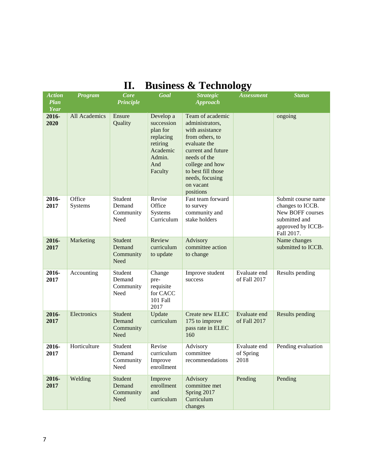| <b>Action</b><br><b>Plan</b><br><b>Year</b> | Program           | <b>Core</b><br><b>Principle</b>        | Goal                                                                                                 | <b>Strategic</b><br><b>Approach</b>                                                                                                                                                                                   | <b>Assessment</b>                 | <b>Status</b>                                                                                                  |
|---------------------------------------------|-------------------|----------------------------------------|------------------------------------------------------------------------------------------------------|-----------------------------------------------------------------------------------------------------------------------------------------------------------------------------------------------------------------------|-----------------------------------|----------------------------------------------------------------------------------------------------------------|
| 2016-<br>2020                               | All Academics     | Ensure<br>Quality                      | Develop a<br>succession<br>plan for<br>replacing<br>retiring<br>Academic<br>Admin.<br>And<br>Faculty | Team of academic<br>administrators,<br>with assistance<br>from others, to<br>evaluate the<br>current and future<br>needs of the<br>college and how<br>to best fill those<br>needs, focusing<br>on vacant<br>positions |                                   | ongoing                                                                                                        |
| 2016-<br>2017                               | Office<br>Systems | Student<br>Demand<br>Community<br>Need | Revise<br>Office<br>Systems<br>Curriculum                                                            | Fast team forward<br>to survey<br>community and<br>stake holders                                                                                                                                                      |                                   | Submit course name<br>changes to ICCB.<br>New BOFF courses<br>submitted and<br>approved by ICCB-<br>Fall 2017. |
| 2016-<br>2017                               | Marketing         | Student<br>Demand<br>Community<br>Need | Review<br>curriculum<br>to update                                                                    | Advisory<br>committee action<br>to change                                                                                                                                                                             |                                   | Name changes<br>submitted to ICCB.                                                                             |
| 2016-<br>2017                               | Accounting        | Student<br>Demand<br>Community<br>Need | Change<br>pre-<br>requisite<br>for CACC<br>101 Fall<br>2017                                          | Improve student<br>success                                                                                                                                                                                            | Evaluate end<br>of Fall 2017      | Results pending                                                                                                |
| 2016-<br>2017                               | Electronics       | Student<br>Demand<br>Community<br>Need | Update<br>curriculum                                                                                 | Create new ELEC<br>175 to improve<br>pass rate in ELEC<br>160                                                                                                                                                         | Evaluate end<br>of Fall 2017      | Results pending                                                                                                |
| 2016-<br>2017                               | Horticulture      | Student<br>Demand<br>Community<br>Need | Revise<br>curriculum<br>Improve<br>enrollment                                                        | Advisory<br>committee<br>$recommendations$                                                                                                                                                                            | Evaluate end<br>of Spring<br>2018 | Pending evaluation                                                                                             |
| 2016-<br>2017                               | Welding           | Student<br>Demand<br>Community<br>Need | Improve<br>enrollment<br>and<br>curriculum                                                           | Advisory<br>committee met<br>Spring 2017<br>Curriculum<br>changes                                                                                                                                                     | Pending                           | Pending                                                                                                        |

# **II. Business & Technology**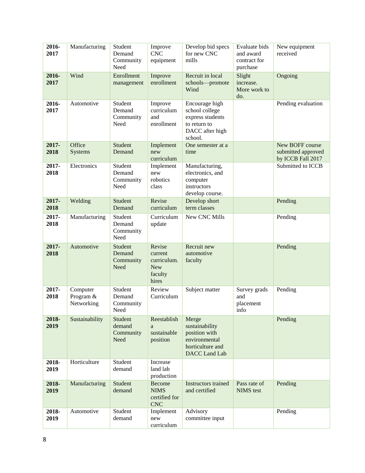| 2016-<br>2017 | Manufacturing                       | Student<br>Demand<br>Community<br>Need | Improve<br><b>CNC</b><br>equipment                                 | Develop bid specs<br>for new CNC<br>mills                                                             | Evaluate bids<br>and award<br>contract for<br>purchase | New equipment<br>received                                  |
|---------------|-------------------------------------|----------------------------------------|--------------------------------------------------------------------|-------------------------------------------------------------------------------------------------------|--------------------------------------------------------|------------------------------------------------------------|
| 2016-<br>2017 | Wind                                | Enrollment<br>management               | Improve<br>enrollment                                              | Recruit in local<br>schools-promote<br>Wind                                                           | Slight<br>increase.<br>More work to<br>do.             | Ongoing                                                    |
| 2016-<br>2017 | Automotive                          | Student<br>Demand<br>Community<br>Need | Improve<br>curriculum<br>and<br>enrollment                         | Encourage high<br>school college<br>express students<br>to return to<br>DACC after high<br>school.    |                                                        | Pending evaluation                                         |
| 2017-<br>2018 | Office<br>Systems                   | Student<br>Demand                      | Implement<br>new<br>curriculum                                     | One semester at a<br>time                                                                             |                                                        | New BOFF course<br>submitted approved<br>by ICCB Fall 2017 |
| 2017-<br>2018 | Electronics                         | Student<br>Demand<br>Community<br>Need | Implement<br>new<br>robotics<br>class                              | Manufacturing,<br>electronics, and<br>computer<br>instructors<br>develop course.                      |                                                        | Submitted to ICCB                                          |
| 2017-<br>2018 | Welding                             | Student<br>Demand                      | Revise<br>curriculum                                               | Develop short<br>term classes                                                                         |                                                        | Pending                                                    |
| 2017-<br>2018 | Manufacturing                       | Student<br>Demand<br>Community<br>Need | Curriculum<br>update                                               | New CNC Mills                                                                                         |                                                        | Pending                                                    |
| 2017-<br>2018 | Automotive                          | Student<br>Demand<br>Community<br>Need | Revise<br>current<br>curriculum.<br><b>New</b><br>faculty<br>hires | Recruit new<br>automotive<br>faculty                                                                  |                                                        | Pending                                                    |
| 2017-<br>2018 | Computer<br>Program &<br>Networking | Student<br>Demand<br>Community<br>Need | Review<br>Curriculum                                               | Subject matter                                                                                        | Survey grads<br>and<br>placement<br>info               | Pending                                                    |
| 2018-<br>2019 | Sustainability                      | Student<br>demand<br>Community<br>Need | Reestablish<br>a<br>sustainable<br>position                        | Merge<br>sustainability<br>position with<br>environmental<br>horticulture and<br><b>DACC</b> Land Lab |                                                        | Pending                                                    |
| 2018-<br>2019 | Horticulture                        | Student<br>demand                      | Increase<br>land lab<br>production                                 |                                                                                                       |                                                        |                                                            |
| 2018-<br>2019 | Manufacturing                       | Student<br>demand                      | <b>Become</b><br><b>NIMS</b><br>certified for<br><b>CNC</b>        | <b>Instructors</b> trained<br>and certified                                                           | Pass rate of<br><b>NIMS</b> test                       | Pending                                                    |
| 2018-<br>2019 | Automotive                          | Student<br>demand                      | Implement<br>new<br>curriculum                                     | Advisory<br>committee input                                                                           |                                                        | Pending                                                    |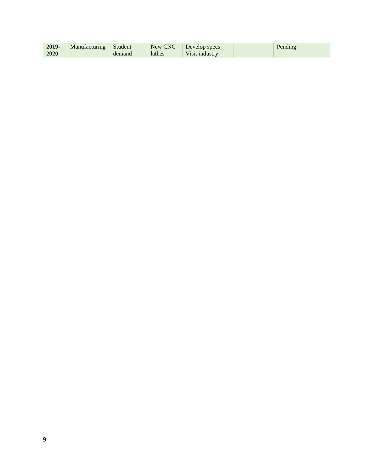| 2019- | Manufacturing | Student | New CNC | Develop specs  | Pending |
|-------|---------------|---------|---------|----------------|---------|
| 2020  |               | demand  | lathes  | Visit industry |         |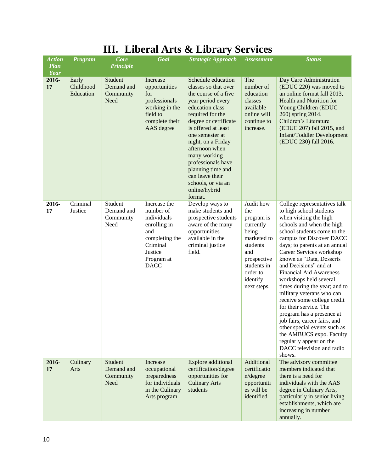| <b>Action</b><br><b>Plan</b><br><b>Year</b> | <b>Program</b>                  | <b>Core</b><br><b>Principle</b>            | Goal                                                                                                                                  | <b>Strategic Approach</b>                                                                                                                                                                                                                                                                                                                                                 | <b>Assessment</b>                                                                                                                                           | <b>Status</b>                                                                                                                                                                                                                                                                                                                                                                                                                                                                                                                                                                                                                                                             |
|---------------------------------------------|---------------------------------|--------------------------------------------|---------------------------------------------------------------------------------------------------------------------------------------|---------------------------------------------------------------------------------------------------------------------------------------------------------------------------------------------------------------------------------------------------------------------------------------------------------------------------------------------------------------------------|-------------------------------------------------------------------------------------------------------------------------------------------------------------|---------------------------------------------------------------------------------------------------------------------------------------------------------------------------------------------------------------------------------------------------------------------------------------------------------------------------------------------------------------------------------------------------------------------------------------------------------------------------------------------------------------------------------------------------------------------------------------------------------------------------------------------------------------------------|
| 2016-<br>17                                 | Early<br>Childhood<br>Education | Student<br>Demand and<br>Community<br>Need | Increase<br>opportunities<br>for<br>professionals<br>working in the<br>field to<br>complete their<br>AAS degree                       | Schedule education<br>classes so that over<br>the course of a five<br>year period every<br>education class<br>required for the<br>degree or certificate<br>is offered at least<br>one semester at<br>night, on a Friday<br>afternoon when<br>many working<br>professionals have<br>planning time and<br>can leave their<br>schools, or via an<br>online/hybrid<br>format. | The<br>number of<br>education<br>classes<br>available<br>online will<br>continue to<br>increase.                                                            | Day Care Administration<br>(EDUC 220) was moved to<br>an online format fall 2013,<br>Health and Nutrition for<br>Young Children (EDUC<br>260) spring 2014.<br>Children's Literature<br>(EDUC 207) fall 2015, and<br>Infant/Toddler Development<br>(EDUC 230) fall 2016.                                                                                                                                                                                                                                                                                                                                                                                                   |
| 2016-<br>17                                 | Criminal<br>Justice             | Student<br>Demand and<br>Community<br>Need | Increase the<br>number of<br>individuals<br>enrolling in<br>and<br>completing the<br>Criminal<br>Justice<br>Program at<br><b>DACC</b> | Develop ways to<br>make students and<br>prospective students<br>aware of the many<br>opportunities<br>available in the<br>criminal justice<br>field.                                                                                                                                                                                                                      | Audit how<br>the<br>program is<br>currently<br>being<br>marketed to<br>students<br>and<br>prospective<br>students in<br>order to<br>identify<br>next steps. | College representatives talk<br>to high school students<br>when visiting the high<br>schools and when the high<br>school students come to the<br>campus for Discover DACC<br>days; to parents at an annual<br>Career Services workshop<br>known as "Data, Desserts<br>and Decisions" and at<br><b>Financial Aid Awareness</b><br>workshops held several<br>times during the year; and to<br>military veterans who can<br>receive some college credit<br>for their service. The<br>program has a presence at<br>job fairs, career fairs, and<br>other special events such as<br>the AMBUCS expo. Faculty<br>regularly appear on the<br>DACC television and radio<br>shows. |
| 2016-<br>17                                 | Culinary<br>Arts                | Student<br>Demand and<br>Community<br>Need | Increase<br>occupational<br>preparedness<br>for individuals<br>in the Culinary<br>Arts program                                        | Explore additional<br>certification/degree<br>opportunities for<br><b>Culinary Arts</b><br>students                                                                                                                                                                                                                                                                       | Additional<br>certificatio<br>$n$ /degree<br>opportuniti<br>es will be<br>identified                                                                        | The advisory committee<br>members indicated that<br>there is a need for<br>individuals with the AAS<br>degree in Culinary Arts,<br>particularly in senior living<br>establishments, which are<br>increasing in number<br>annually.                                                                                                                                                                                                                                                                                                                                                                                                                                        |

## **III. Liberal Arts & Library Services**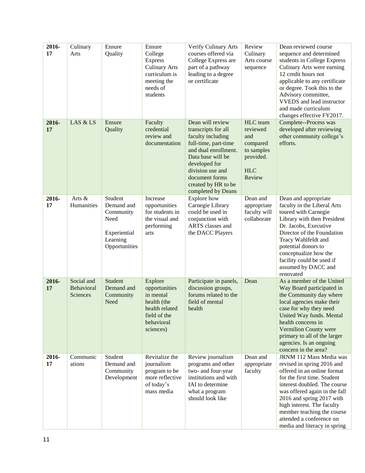| 2016-<br>17 | Culinary<br>Arts                     | Ensure<br>Quality                                                                       | Ensure<br>College<br><b>Express</b><br><b>Culinary Arts</b><br>curriculum is<br>meeting the<br>needs of<br>students | Verify Culinary Arts<br>courses offered via<br>College Express are<br>part of a pathway<br>leading to a degree<br>or certificate                                                                                                      | Review<br>Culinary<br>Arts course<br>sequence                                              | Dean reviewed course<br>sequence and determined<br>students in College Express<br>Culinary Arts were earning<br>12 credit hours not<br>applicable to any certificate<br>or degree. Took this to the<br>Advisory committee,<br><b>VVEDS</b> and lead instructor<br>and made curriculum<br>changes effective FY2017.                        |
|-------------|--------------------------------------|-----------------------------------------------------------------------------------------|---------------------------------------------------------------------------------------------------------------------|---------------------------------------------------------------------------------------------------------------------------------------------------------------------------------------------------------------------------------------|--------------------------------------------------------------------------------------------|-------------------------------------------------------------------------------------------------------------------------------------------------------------------------------------------------------------------------------------------------------------------------------------------------------------------------------------------|
| 2016-<br>17 | LAS & LS                             | Ensure<br>Quality                                                                       | Faculty<br>credential<br>review and<br>documentation                                                                | Dean will review<br>transcripts for all<br>faculty including<br>full-time, part-time<br>and dual enrollment.<br>Data base will be<br>developed for<br>division use and<br>document forms<br>created by HR to be<br>completed by Deans | HLC team<br>reviewed<br>and<br>compared<br>to samples<br>provided.<br><b>HLC</b><br>Review | Complete--Process was<br>developed after reviewing<br>other community college's<br>efforts.                                                                                                                                                                                                                                               |
| 2016-<br>17 | Arts $\&$<br>Humanities              | Student<br>Demand and<br>Community<br>Need<br>Experiential<br>Learning<br>Opportunities | Increase<br>opportunities<br>for students in<br>the visual and<br>performing<br>arts                                | Explore how<br>Carnegie Library<br>could be used in<br>conjunction with<br>ARTS classes and<br>the DACC Players                                                                                                                       | Dean and<br>appropriate<br>faculty will<br>collaborate                                     | Dean and appropriate<br>faculty in the Liberal Arts<br>toured with Carnegie<br>Library with then President<br>Dr. Jacobs, Executive<br>Director of the Foundation<br>Tracy Wahlfeldt and<br>potential donors to<br>conceptualize how the<br>facility could be used if<br>assumed by DACC and<br>renovated                                 |
| 2016-<br>17 | Social and<br>Behavioral<br>Sciences | Student<br>Demand and<br>Community<br>Need                                              | Explore<br>opportunities<br>in mental<br>health (the<br>health related<br>field of the<br>behavioral<br>sciences)   | Participate in panels,<br>discussion groups,<br>forums related to the<br>field of mental<br>health                                                                                                                                    | Dean                                                                                       | As a member of the United<br>Way Board participated in<br>the Community day where<br>local agencies make their<br>case for why they need<br>United Way funds. Mental<br>health concerns in<br>Vermilion County were<br>primary to all of the larger<br>agencies. Is an ongoing<br>concern in the area?                                    |
| 2016-<br>17 | Communic<br>ations                   | Student<br>Demand and<br>Community<br>Development                                       | Revitalize the<br>journalism<br>program to be<br>more reflective<br>of today's<br>mass media                        | Review journalism<br>programs and other<br>two- and four-year<br>institutions and with<br>IAI to determine<br>what a program<br>should look like                                                                                      | Dean and<br>appropriate<br>faculty                                                         | JRNM 112 Mass Media was<br>revised in spring 2016 and<br>offered in an online format<br>for the first time. Student<br>interest doubled. The course<br>was offered again in the fall<br>2016 and spring 2017 with<br>high interest. The faculty<br>member teaching the course<br>attended a conference on<br>media and literacy in spring |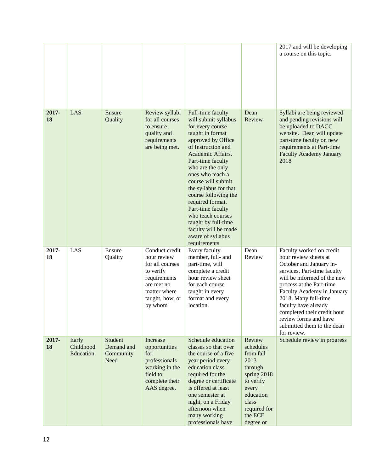|             |                                 |                                                   |                                                                                                                                           |                                                                                                                                                                                                                                                                                                                                                                                                                                          |                                                                                                                                                        | 2017 and will be developing<br>a course on this topic.                                                                                                                                                                                                                                                                                                    |
|-------------|---------------------------------|---------------------------------------------------|-------------------------------------------------------------------------------------------------------------------------------------------|------------------------------------------------------------------------------------------------------------------------------------------------------------------------------------------------------------------------------------------------------------------------------------------------------------------------------------------------------------------------------------------------------------------------------------------|--------------------------------------------------------------------------------------------------------------------------------------------------------|-----------------------------------------------------------------------------------------------------------------------------------------------------------------------------------------------------------------------------------------------------------------------------------------------------------------------------------------------------------|
| 2017-<br>18 | LAS                             | Ensure<br>Quality                                 | Review syllabi<br>for all courses<br>to ensure<br>quality and<br>requirements<br>are being met.                                           | Full-time faculty<br>will submit syllabus<br>for every course<br>taught in format<br>approved by Office<br>of Instruction and<br>Academic Affairs.<br>Part-time faculty<br>who are the only<br>ones who teach a<br>course will submit<br>the syllabus for that<br>course following the<br>required format.<br>Part-time faculty<br>who teach courses<br>taught by full-time<br>faculty will be made<br>aware of syllabus<br>requirements | Dean<br>Review                                                                                                                                         | Syllabi are being reviewed<br>and pending revisions will<br>be uploaded to DACC<br>website. Dean will update<br>part-time faculty on new<br>requirements at Part-time<br><b>Faculty Academy January</b><br>2018                                                                                                                                           |
| 2017-<br>18 | LAS                             | Ensure<br>Quality                                 | Conduct credit<br>hour review<br>for all courses<br>to verify<br>requirements<br>are met no<br>matter where<br>taught, how, or<br>by whom | Every faculty<br>member, full- and<br>part-time, will<br>complete a credit<br>hour review sheet<br>for each course<br>taught in every<br>format and every<br>location.                                                                                                                                                                                                                                                                   | Dean<br>Review                                                                                                                                         | Faculty worked on credit<br>hour review sheets at<br>October and January in-<br>services. Part-time faculty<br>will be informed of the new<br>process at the Part-time<br>Faculty Academy in January<br>2018. Many full-time<br>faculty have already<br>completed their credit hour<br>review forms and have<br>submitted them to the dean<br>for review. |
| 2017-<br>18 | Early<br>Childhood<br>Education | Student<br>Demand and<br>Community<br><b>Need</b> | Increase<br>opportunities<br>for<br>professionals<br>working in the<br>field to<br>complete their<br>AAS degree.                          | Schedule education<br>classes so that over<br>the course of a five<br>year period every<br>education class<br>required for the<br>degree or certificate<br>is offered at least<br>one semester at<br>night, on a Friday<br>afternoon when<br>many working<br>professionals have                                                                                                                                                          | Review<br>schedules<br>from fall<br>2013<br>through<br>spring 2018<br>to verify<br>every<br>education<br>class<br>required for<br>the ECE<br>degree or | Schedule review in progress                                                                                                                                                                                                                                                                                                                               |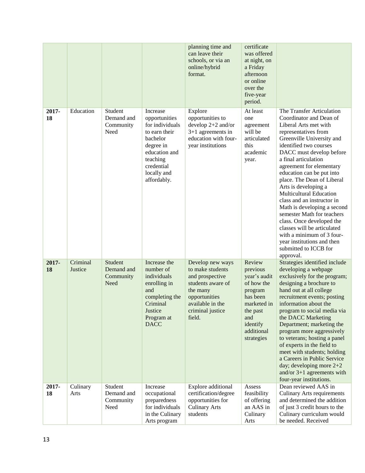|             |                     |                                            |                                                                                                                                                                 | planning time and<br>can leave their<br>schools, or via an<br>online/hybrid<br>format.                                                                      | certificate<br>was offered<br>at night, on<br>a Friday<br>afternoon<br>or online<br>over the<br>five-year<br>period.                              |                                                                                                                                                                                                                                                                                                                                                                                                                                                                                                                                                                                                                           |
|-------------|---------------------|--------------------------------------------|-----------------------------------------------------------------------------------------------------------------------------------------------------------------|-------------------------------------------------------------------------------------------------------------------------------------------------------------|---------------------------------------------------------------------------------------------------------------------------------------------------|---------------------------------------------------------------------------------------------------------------------------------------------------------------------------------------------------------------------------------------------------------------------------------------------------------------------------------------------------------------------------------------------------------------------------------------------------------------------------------------------------------------------------------------------------------------------------------------------------------------------------|
| 2017-<br>18 | Education           | Student<br>Demand and<br>Community<br>Need | Increase<br>opportunities<br>for individuals<br>to earn their<br>bachelor<br>degree in<br>education and<br>teaching<br>credential<br>locally and<br>affordably. | Explore<br>opportunities to<br>develop $2+2$ and/or<br>$3+1$ agreements in<br>education with four-<br>year institutions                                     | At least<br>one<br>agreement<br>will be<br>articulated<br>this<br>academic<br>year.                                                               | The Transfer Articulation<br>Coordinator and Dean of<br>Liberal Arts met with<br>representatives from<br>Greenville University and<br>identified two courses<br>DACC must develop before<br>a final articulation<br>agreement for elementary<br>education can be put into<br>place. The Dean of Liberal<br>Arts is developing a<br><b>Multicultural Education</b><br>class and an instructor in<br>Math is developing a second<br>semester Math for teachers<br>class. Once developed the<br>classes will be articulated<br>with a minimum of 3 four-<br>year institutions and then<br>submitted to ICCB for<br>approval. |
| 2017-<br>18 | Criminal<br>Justice | Student<br>Demand and<br>Community<br>Need | Increase the<br>number of<br>individuals<br>enrolling in<br>and<br>completing the<br>Criminal<br>Justice<br>Program at<br><b>DACC</b>                           | Develop new ways<br>to make students<br>and prospective<br>students aware of<br>the many<br>opportunities<br>available in the<br>criminal justice<br>field. | Review<br>previous<br>year's audit<br>of how the<br>program<br>has been<br>marketed in<br>the past<br>and<br>identify<br>additional<br>strategies | Strategies identified include<br>developing a webpage<br>exclusively for the program;<br>designing a brochure to<br>hand out at all college<br>recruitment events; posting<br>information about the<br>program to social media via<br>the DACC Marketing<br>Department; marketing the<br>program more aggressively<br>to veterans; hosting a panel<br>of experts in the field to<br>meet with students; holding<br>a Careers in Public Service<br>day; developing more $2+2$<br>and/or $3+1$ agreements with<br>four-year institutions.                                                                                   |
| 2017-<br>18 | Culinary<br>Arts    | Student<br>Demand and<br>Community<br>Need | Increase<br>occupational<br>preparedness<br>for individuals<br>in the Culinary<br>Arts program                                                                  | Explore additional<br>certification/degree<br>opportunities for<br><b>Culinary Arts</b><br>students                                                         | Assess<br>feasibility<br>of offering<br>an AAS in<br>Culinary<br>Arts                                                                             | Dean reviewed AAS in<br><b>Culinary Arts requirements</b><br>and determined the addition<br>of just 3 credit hours to the<br>Culinary curriculum would<br>be needed. Received                                                                                                                                                                                                                                                                                                                                                                                                                                             |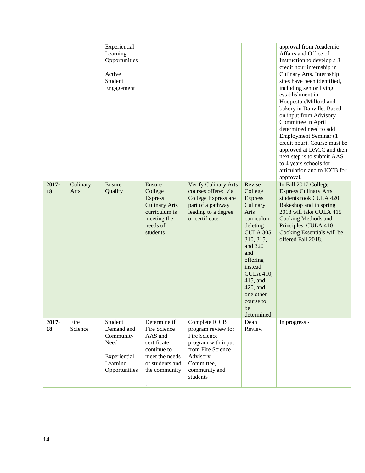|             |                  | Experiential<br>Learning<br>Opportunities<br>Active<br>Student<br>Engagement            |                                                                                                                             |                                                                                                                                                       |                                                                                                                                                                                                                                                       | approval from Academic<br>Affairs and Office of<br>Instruction to develop a 3<br>credit hour internship in<br>Culinary Arts. Internship<br>sites have been identified,<br>including senior living<br>establishment in<br>Hoopeston/Milford and<br>bakery in Danville. Based<br>on input from Advisory<br>Committee in April<br>determined need to add<br>Employment Seminar (1<br>credit hour). Course must be<br>approved at DACC and then<br>next step is to submit AAS<br>to 4 years schools for<br>articulation and to ICCB for<br>approval. |
|-------------|------------------|-----------------------------------------------------------------------------------------|-----------------------------------------------------------------------------------------------------------------------------|-------------------------------------------------------------------------------------------------------------------------------------------------------|-------------------------------------------------------------------------------------------------------------------------------------------------------------------------------------------------------------------------------------------------------|--------------------------------------------------------------------------------------------------------------------------------------------------------------------------------------------------------------------------------------------------------------------------------------------------------------------------------------------------------------------------------------------------------------------------------------------------------------------------------------------------------------------------------------------------|
| 2017-<br>18 | Culinary<br>Arts | Ensure<br>Quality                                                                       | Ensure<br>College<br><b>Express</b><br><b>Culinary Arts</b><br>curriculum is<br>meeting the<br>needs of<br>students         | Verify Culinary Arts<br>courses offered via<br>College Express are<br>part of a pathway<br>leading to a degree<br>or certificate                      | Revise<br>College<br><b>Express</b><br>Culinary<br>Arts<br>curriculum<br>deleting<br><b>CULA 305,</b><br>310, 315,<br>and 320<br>and<br>offering<br>instead<br><b>CULA 410,</b><br>415, and<br>420, and<br>one other<br>course to<br>be<br>determined | In Fall 2017 College<br><b>Express Culinary Arts</b><br>students took CULA 420<br>Bakeshop and in spring<br>2018 will take CULA 415<br>Cooking Methods and<br>Principles. CULA 410<br>Cooking Essentials will be<br>offered Fall 2018.                                                                                                                                                                                                                                                                                                           |
| 2017-<br>18 | Fire<br>Science  | Student<br>Demand and<br>Community<br>Need<br>Experiential<br>Learning<br>Opportunities | Determine if<br>Fire Science<br>AAS and<br>certificate<br>continue to<br>meet the needs<br>of students and<br>the community | Complete ICCB<br>program review for<br>Fire Science<br>program with input<br>from Fire Science<br>Advisory<br>Committee,<br>community and<br>students | Dean<br>Review                                                                                                                                                                                                                                        | In progress -                                                                                                                                                                                                                                                                                                                                                                                                                                                                                                                                    |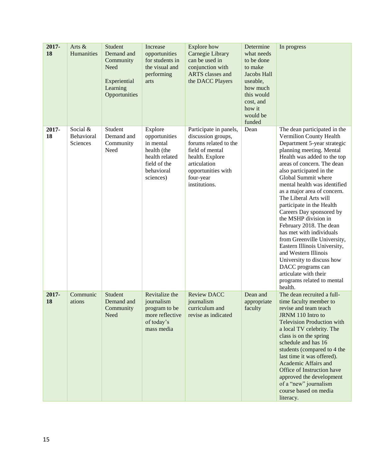| 2017-<br>18 | Arts &<br>Humanities               | Student<br>Demand and<br>Community<br>Need<br>Experiential<br>Learning<br>Opportunities | Increase<br>opportunities<br>for students in<br>the visual and<br>performing<br>arts                              | <b>Explore</b> how<br>Carnegie Library<br>can be used in<br>conjunction with<br><b>ARTS</b> classes and<br>the DACC Players                                                     | Determine<br>what needs<br>to be done<br>to make<br>Jacobs Hall<br>useable,<br>how much<br>this would<br>cost, and<br>how it<br>would be<br>funded | In progress                                                                                                                                                                                                                                                                                                                                                                                                                                                                                                                                                                                                                                                                   |
|-------------|------------------------------------|-----------------------------------------------------------------------------------------|-------------------------------------------------------------------------------------------------------------------|---------------------------------------------------------------------------------------------------------------------------------------------------------------------------------|----------------------------------------------------------------------------------------------------------------------------------------------------|-------------------------------------------------------------------------------------------------------------------------------------------------------------------------------------------------------------------------------------------------------------------------------------------------------------------------------------------------------------------------------------------------------------------------------------------------------------------------------------------------------------------------------------------------------------------------------------------------------------------------------------------------------------------------------|
| 2017-<br>18 | Social &<br>Behavioral<br>Sciences | Student<br>Demand and<br>Community<br>Need                                              | Explore<br>opportunities<br>in mental<br>health (the<br>health related<br>field of the<br>behavioral<br>sciences) | Participate in panels,<br>discussion groups,<br>forums related to the<br>field of mental<br>health. Explore<br>articulation<br>opportunities with<br>four-year<br>institutions. | Dean                                                                                                                                               | The dean participated in the<br>Vermilion County Health<br>Department 5-year strategic<br>planning meeting. Mental<br>Health was added to the top<br>areas of concern. The dean<br>also participated in the<br>Global Summit where<br>mental health was identified<br>as a major area of concern.<br>The Liberal Arts will<br>participate in the Health<br>Careers Day sponsored by<br>the MSHP division in<br>February 2018. The dean<br>has met with individuals<br>from Greenville University,<br>Eastern Illinois University,<br>and Western Illinois<br>University to discuss how<br>DACC programs can<br>articulate with their<br>programs related to mental<br>health. |
| 2017-<br>18 | Communic<br>ations                 | Student<br>Demand and<br>Community<br>Need                                              | Revitalize the<br>journalism<br>program to be<br>more reflective<br>of today's<br>mass media                      | <b>Review DACC</b><br>journalism<br>curriculum and<br>revise as indicated                                                                                                       | Dean and<br>appropriate<br>faculty                                                                                                                 | The dean recruited a full-<br>time faculty member to<br>revise and team teach<br>JRNM 110 Intro to<br><b>Television Production with</b><br>a local TV celebrity. The<br>class is on the spring<br>schedule and has 16<br>students (compared to 4 the<br>last time it was offered).<br>Academic Affairs and<br>Office of Instruction have<br>approved the development<br>of a "new" journalism<br>course based on media<br>literacy.                                                                                                                                                                                                                                           |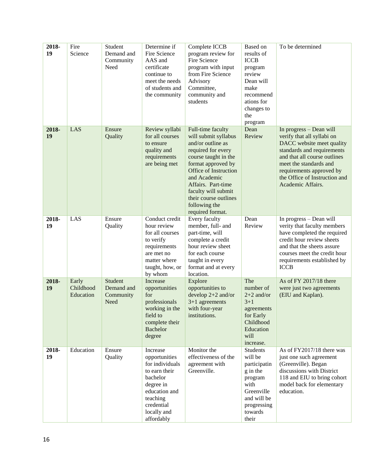| 2018-<br>19 | Fire<br>Science                 | Student<br>Demand and<br>Community<br>Need | Determine if<br>Fire Science<br>AAS and<br>certificate<br>continue to<br>meet the needs<br>of students and<br>the community                                    | Complete ICCB<br>program review for<br>Fire Science<br>program with input<br>from Fire Science<br>Advisory<br>Committee,<br>community and<br>students                                                                                                                                  | Based on<br>results of<br><b>ICCB</b><br>program<br>review<br>Dean will<br>make<br>recommend<br>ations for<br>changes to<br>the<br>program | To be determined                                                                                                                                                                                                                                             |
|-------------|---------------------------------|--------------------------------------------|----------------------------------------------------------------------------------------------------------------------------------------------------------------|----------------------------------------------------------------------------------------------------------------------------------------------------------------------------------------------------------------------------------------------------------------------------------------|--------------------------------------------------------------------------------------------------------------------------------------------|--------------------------------------------------------------------------------------------------------------------------------------------------------------------------------------------------------------------------------------------------------------|
| 2018-<br>19 | LAS                             | Ensure<br>Quality                          | Review syllabi<br>for all courses<br>to ensure<br>quality and<br>requirements<br>are being met                                                                 | Full-time faculty<br>will submit syllabus<br>and/or outline as<br>required for every<br>course taught in the<br>format approved by<br>Office of Instruction<br>and Academic<br>Affairs. Part-time<br>faculty will submit<br>their course outlines<br>following the<br>required format. | Dean<br>Review                                                                                                                             | In progress - Dean will<br>verify that all syllabi on<br>DACC website meet quality<br>standards and requirements<br>and that all course outlines<br>meet the standards and<br>requirements approved by<br>the Office of Instruction and<br>Academic Affairs. |
| 2018-<br>19 | LAS                             | Ensure<br>Quality                          | Conduct credit<br>hour review<br>for all courses<br>to verify<br>requirements<br>are met no<br>matter where<br>taught, how, or<br>by whom                      | Every faculty<br>member, full- and<br>part-time, will<br>complete a credit<br>hour review sheet<br>for each course<br>taught in every<br>format and at every<br>location.                                                                                                              | Dean<br>Review                                                                                                                             | In progress - Dean will<br>verity that faculty members<br>have completed the required<br>credit hour review sheets<br>and that the sheets assure<br>courses meet the credit hour<br>requirements established by<br><b>ICCB</b>                               |
| 2018-<br>19 | Early<br>Childhood<br>Education | Student<br>Demand and<br>Community<br>Need | Increase<br>opportunities<br>for<br>professionals<br>working in the<br>field to<br>complete their<br><b>Bachelor</b><br>degree                                 | Explore<br>opportunities to<br>develop $2+2$ and/or<br>$3+1$ agreements<br>with four-year<br>institutions.                                                                                                                                                                             | The<br>number of<br>$2+2$ and/or<br>$3 + 1$<br>agreements<br>for Early<br>Childhood<br>Education<br>will<br>increase.                      | As of FY 2017/18 there<br>were just two agreements<br>(EIU and Kaplan).                                                                                                                                                                                      |
| 2018-<br>19 | Education                       | Ensure<br>Quality                          | Increase<br>opportunities<br>for individuals<br>to earn their<br>bachelor<br>degree in<br>education and<br>teaching<br>credential<br>locally and<br>affordably | Monitor the<br>effectiveness of the<br>agreement with<br>Greenville.                                                                                                                                                                                                                   | Students<br>will be<br>participatin<br>g in the<br>program<br>with<br>Greenville<br>and will be<br>progressing<br>towards<br>their         | As of FY2017/18 there was<br>just one such agreement<br>(Greenville). Began<br>discussions with District<br>118 and EIU to bring cohort<br>model back for elementary<br>education.                                                                           |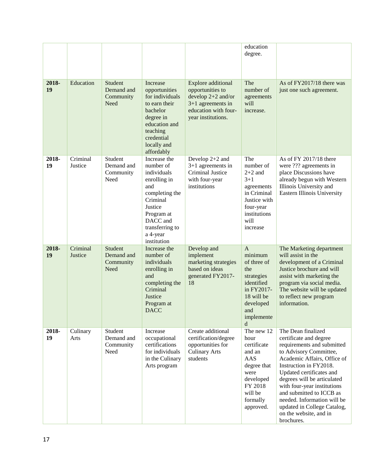|             |                     |                                            |                                                                                                                                                                                  |                                                                                                                                            | education<br>degree.                                                                                                                                     |                                                                                                                                                                                                                                                                                                                                                                                           |
|-------------|---------------------|--------------------------------------------|----------------------------------------------------------------------------------------------------------------------------------------------------------------------------------|--------------------------------------------------------------------------------------------------------------------------------------------|----------------------------------------------------------------------------------------------------------------------------------------------------------|-------------------------------------------------------------------------------------------------------------------------------------------------------------------------------------------------------------------------------------------------------------------------------------------------------------------------------------------------------------------------------------------|
| 2018-<br>19 | Education           | Student<br>Demand and<br>Community<br>Need | Increase<br>opportunities<br>for individuals<br>to earn their<br>bachelor<br>degree in<br>education and<br>teaching<br>credential<br>locally and<br>affordably                   | <b>Explore</b> additional<br>opportunities to<br>develop $2+2$ and/or<br>$3+1$ agreements in<br>education with four-<br>year institutions. | The<br>number of<br>agreements<br>will<br>increase.                                                                                                      | As of FY2017/18 there was<br>just one such agreement.                                                                                                                                                                                                                                                                                                                                     |
| 2018-<br>19 | Criminal<br>Justice | Student<br>Demand and<br>Community<br>Need | Increase the<br>number of<br>individuals<br>enrolling in<br>and<br>completing the<br>Criminal<br>Justice<br>Program at<br>DACC and<br>transferring to<br>a 4-year<br>institution | Develop 2+2 and<br>$3+1$ agreements in<br>Criminal Justice<br>with four-year<br>institutions                                               | The<br>number of<br>$2+2$ and<br>$3 + 1$<br>agreements<br>in Criminal<br>Justice with<br>four-year<br>institutions<br>will<br>increase                   | As of FY 2017/18 there<br>were ??? agreements in<br>place Discussions have<br>already begun with Western<br>Illinois University and<br><b>Eastern Illinois University</b>                                                                                                                                                                                                                 |
| 2018-<br>19 | Criminal<br>Justice | Student<br>Demand and<br>Community<br>Need | Increase the<br>number of<br>individuals<br>enrolling in<br>and<br>completing the<br>Criminal<br>Justice<br>Program at<br><b>DACC</b>                                            | Develop and<br>implement<br>marketing strategies<br>based on ideas<br>generated FY2017-<br>18                                              | $\overline{A}$<br>minimum<br>of three of<br>the<br>strategies<br>identified<br>in FY2017-<br>18 will be<br>developed<br>and<br>implemente<br>$\mathbf d$ | The Marketing department<br>will assist in the<br>development of a Criminal<br>Justice brochure and will<br>assist with marketing the<br>program via social media.<br>The website will be updated<br>to reflect new program<br>information.                                                                                                                                               |
| 2018-<br>19 | Culinary<br>Arts    | Student<br>Demand and<br>Community<br>Need | Increase<br>occupational<br>certifications<br>for individuals<br>in the Culinary<br>Arts program                                                                                 | Create additional<br>certification/degree<br>opportunities for<br><b>Culinary Arts</b><br>students                                         | The new 12<br>hour<br>certificate<br>and an<br>AAS<br>degree that<br>were<br>developed<br>FY 2018<br>will be<br>formally<br>approved.                    | The Dean finalized<br>certificate and degree<br>requirements and submitted<br>to Advisory Committee,<br>Academic Affairs, Office of<br>Instruction in FY2018.<br>Updated certificates and<br>degrees will be articulated<br>with four-year institutions<br>and submitted to ICCB as<br>needed. Information will be<br>updated in College Catalog,<br>on the website, and in<br>brochures. |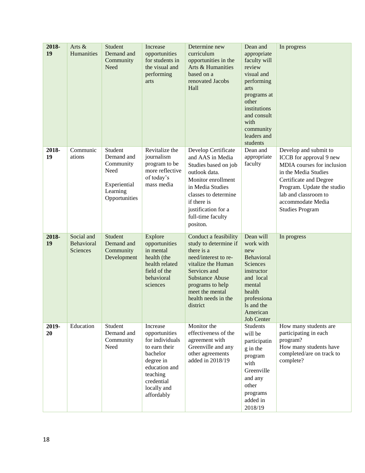| 2018-<br>19 | Arts &<br>Humanities                 | Student<br>Demand and<br>Community<br>Need                                              | Increase<br>opportunities<br>for students in<br>the visual and<br>performing<br>arts                                                                           | Determine new<br>curriculum<br>opportunities in the<br>Arts & Humanities<br>based on a<br>renovated Jacobs<br>Hall                                                                                                             | Dean and<br>appropriate<br>faculty will<br>review<br>visual and<br>performing<br>arts<br>programs at<br>other<br>institutions<br>and consult<br>with<br>community<br>leaders and<br>students | In progress                                                                                                                                                                                                                           |
|-------------|--------------------------------------|-----------------------------------------------------------------------------------------|----------------------------------------------------------------------------------------------------------------------------------------------------------------|--------------------------------------------------------------------------------------------------------------------------------------------------------------------------------------------------------------------------------|----------------------------------------------------------------------------------------------------------------------------------------------------------------------------------------------|---------------------------------------------------------------------------------------------------------------------------------------------------------------------------------------------------------------------------------------|
| 2018-<br>19 | Communic<br>ations                   | Student<br>Demand and<br>Community<br>Need<br>Experiential<br>Learning<br>Opportunities | Revitalize the<br>journalism<br>program to be<br>more reflective<br>of today's<br>mass media                                                                   | Develop Certificate<br>and AAS in Media<br>Studies based on job<br>outlook data.<br>Monitor enrollment<br>in Media Studies<br>classes to determine<br>if there is<br>justification for a<br>full-time faculty<br>positon.      | Dean and<br>appropriate<br>faculty                                                                                                                                                           | Develop and submit to<br>ICCB for approval 9 new<br>MDIA courses for inclusion<br>in the Media Studies<br>Certificate and Degree<br>Program. Update the studio<br>lab and classroom to<br>accommodate Media<br><b>Studies Program</b> |
| 2018-<br>19 | Social and<br>Behavioral<br>Sciences | Student<br>Demand and<br>Community<br>Development                                       | Explore<br>opportunities<br>in mental<br>health (the<br>health related<br>field of the<br>behavioral<br>sciences                                               | Conduct a feasibility<br>study to determine if<br>there is a<br>need/interest to re-<br>vitalize the Human<br>Services and<br><b>Substance Abuse</b><br>programs to help<br>meet the mental<br>health needs in the<br>district | Dean will<br>work with<br>new<br>Behavioral<br>Sciences<br>instructor<br>and local<br>mental<br>health<br>professiona<br>Is and the<br>American<br><b>Job Center</b>                         | In progress                                                                                                                                                                                                                           |
| 2019-<br>20 | Education                            | Student<br>Demand and<br>Community<br>Need                                              | Increase<br>opportunities<br>for individuals<br>to earn their<br>bachelor<br>degree in<br>education and<br>teaching<br>credential<br>locally and<br>affordably | Monitor the<br>effectiveness of the<br>agreement with<br>Greenville and any<br>other agreements<br>added in 2018/19                                                                                                            | <b>Students</b><br>will be<br>participatin<br>g in the<br>program<br>with<br>Greenville<br>and any<br>other<br>programs<br>added in<br>2018/19                                               | How many students are<br>participating in each<br>program?<br>How many students have<br>completed/are on track to<br>complete?                                                                                                        |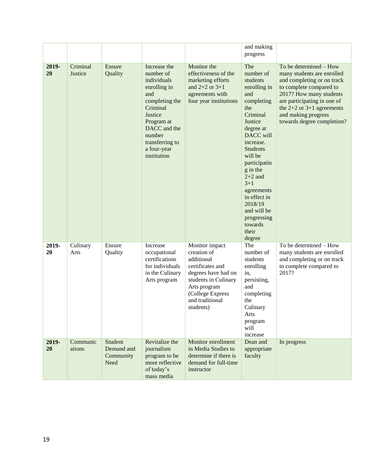|             |                     |                                            |                                                                                                                                                                                                   |                                                                                                                                                                                    | and making<br>progress                                                                                                                                                                                                                                                                                                        |                                                                                                                                                                                                                                                               |
|-------------|---------------------|--------------------------------------------|---------------------------------------------------------------------------------------------------------------------------------------------------------------------------------------------------|------------------------------------------------------------------------------------------------------------------------------------------------------------------------------------|-------------------------------------------------------------------------------------------------------------------------------------------------------------------------------------------------------------------------------------------------------------------------------------------------------------------------------|---------------------------------------------------------------------------------------------------------------------------------------------------------------------------------------------------------------------------------------------------------------|
| 2019-<br>20 | Criminal<br>Justice | Ensure<br>Quality                          | Increase the<br>number of<br>individuals<br>enrolling in<br>and<br>completing the<br>Criminal<br>Justice<br>Program at<br>DACC and the<br>number<br>transferring to<br>a four-year<br>institution | Monitor the<br>effectiveness of the<br>marketing efforts<br>and $2+2$ or $3+1$<br>agreements with<br>four year institutions                                                        | The<br>number of<br>students<br>enrolling in<br>and<br>completing<br>the<br>Criminal<br>Justice<br>degree at<br>DACC will<br>increase.<br><b>Students</b><br>will be<br>participatin<br>g in the<br>$2+2$ and<br>$3 + 1$<br>agreements<br>in effect in<br>2018/19<br>and will be<br>progressing<br>towards<br>their<br>degree | To be determined - How<br>many students are enrolled<br>and completing or on track<br>to complete compared to<br>2017? How many students<br>are participating in one of<br>the $2+2$ or $3+1$ agreements<br>and making progress<br>towards degree completion? |
| 2019-<br>20 | Culinary<br>Arts    | Ensure<br>Quality                          | Increase<br>occupational<br>certifications<br>for individuals<br>in the Culinary<br>Arts program                                                                                                  | Monitor impact<br>creation of<br>additional<br>certificates and<br>degrees have had on<br>students in Culinary<br>Arts program<br>(College Express<br>and traditional<br>students) | The<br>number of<br>students<br>enrolling<br>in,<br>persisting,<br>and<br>completing<br>the<br>Culinary<br>Arts<br>program<br>will<br>increase                                                                                                                                                                                | To be determined - How<br>many students are enrolled<br>and completing or on track<br>to complete compared to<br>2017?                                                                                                                                        |
| 2019-<br>20 | Communic<br>ations  | Student<br>Demand and<br>Community<br>Need | Revitalize the<br>journalism<br>program to be<br>more reflective<br>of today's<br>mass media                                                                                                      | Monitor enrollment<br>in Media Studies to<br>determine if there is<br>demand for full-time<br>instructor                                                                           | Dean and<br>appropriate<br>faculty                                                                                                                                                                                                                                                                                            | In progress                                                                                                                                                                                                                                                   |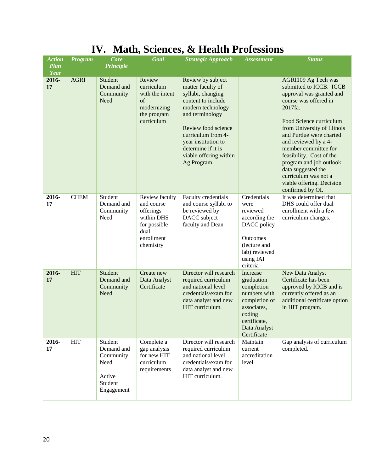| <b>Action</b><br>Plan<br>Year | Program     | Core<br><b>Principle</b>                                                      | Goal                                                                                                       | <b>Strategic Approach</b>                                                                                                                                                                                                                                    | <b>Assessment</b>                                                                                                                             | <b>Status</b>                                                                                                                                                                                                                                                                                                                                                                                             |
|-------------------------------|-------------|-------------------------------------------------------------------------------|------------------------------------------------------------------------------------------------------------|--------------------------------------------------------------------------------------------------------------------------------------------------------------------------------------------------------------------------------------------------------------|-----------------------------------------------------------------------------------------------------------------------------------------------|-----------------------------------------------------------------------------------------------------------------------------------------------------------------------------------------------------------------------------------------------------------------------------------------------------------------------------------------------------------------------------------------------------------|
| 2016-<br>17                   | <b>AGRI</b> | Student<br>Demand and<br>Community<br>Need                                    | Review<br>curriculum<br>with the intent<br>$\sigma$ f<br>modernizing<br>the program<br>curriculum          | Review by subject<br>matter faculty of<br>syllabi, changing<br>content to include<br>modern technology<br>and terminology<br>Review food science<br>curriculum from 4-<br>year institution to<br>determine if it is<br>viable offering within<br>Ag Program. |                                                                                                                                               | AGRI109 Ag Tech was<br>submitted to ICCB. ICCB<br>approval was granted and<br>course was offered in<br>2017fa.<br>Food Science curriculum<br>from University of Illinois<br>and Purdue were charted<br>and reviewed by a 4-<br>member committee for<br>feasibility. Cost of the<br>program and job outlook<br>data suggested the<br>curriculum was not a<br>viable offering. Decision<br>confirmed by OI. |
| 2016-<br>17                   | <b>CHEM</b> | Student<br>Demand and<br>Community<br>Need                                    | Review faculty<br>and course<br>offerings<br>within DHS<br>for possible<br>dual<br>enrollment<br>chemistry | Faculty credentials<br>and course syllabi to<br>be reviewed by<br>DACC subject<br>faculty and Dean                                                                                                                                                           | Credentials<br>were<br>reviewed<br>according the<br>DACC policy<br><b>Outcomes</b><br>(lecture and<br>lab) reviewed<br>using IAI<br>criteria  | It was determined that<br>DHS could offer dual<br>enrollment with a few<br>curriculum changes.                                                                                                                                                                                                                                                                                                            |
| 2016-<br>17                   | <b>HIT</b>  | Student<br>Demand and<br>Community<br>Need                                    | Create new<br>Data Analyst<br>Certificate                                                                  | Director will research<br>required curriculum<br>and national level<br>credentials/exam for<br>data analyst and new<br>HIT curriculum.                                                                                                                       | Increase<br>graduation<br>completion<br>numbers with<br>completion of<br>associates,<br>coding<br>certificate,<br>Data Analyst<br>Certificate | New Data Analyst<br>Certificate has been<br>approved by ICCB and is<br>currently offered as an<br>additional certificate option<br>in HIT program.                                                                                                                                                                                                                                                        |
| 2016-<br>17                   | <b>HIT</b>  | Student<br>Demand and<br>Community<br>Need<br>Active<br>Student<br>Engagement | Complete a<br>gap analysis<br>for new HIT<br>curriculum<br>requirements                                    | Director will research<br>required curriculum<br>and national level<br>credentials/exam for<br>data analyst and new<br>HIT curriculum.                                                                                                                       | Maintain<br>current<br>accreditation<br>level                                                                                                 | Gap analysis of curriculum<br>completed.                                                                                                                                                                                                                                                                                                                                                                  |

### **IV. Math, Sciences, & Health Professions**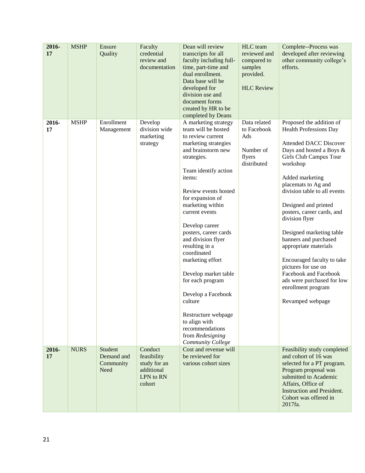| 2016-<br>17 | <b>MSHP</b> | Ensure<br>Quality                          | Faculty<br>credential<br>review and<br>documentation                        | Dean will review<br>transcripts for all<br>faculty including full-<br>time, part-time and<br>dual enrollment.<br>Data base will be<br>developed for<br>division use and<br>document forms<br>created by HR to be<br>completed by Deans                                                                                                                                                                                                                                                                                                                   | HLC team<br>reviewed and<br>compared to<br>samples<br>provided.<br><b>HLC</b> Review | Complete--Process was<br>developed after reviewing<br>other community college's<br>efforts.                                                                                                                                                                                                                                                                                                                                                                                                                                                        |
|-------------|-------------|--------------------------------------------|-----------------------------------------------------------------------------|----------------------------------------------------------------------------------------------------------------------------------------------------------------------------------------------------------------------------------------------------------------------------------------------------------------------------------------------------------------------------------------------------------------------------------------------------------------------------------------------------------------------------------------------------------|--------------------------------------------------------------------------------------|----------------------------------------------------------------------------------------------------------------------------------------------------------------------------------------------------------------------------------------------------------------------------------------------------------------------------------------------------------------------------------------------------------------------------------------------------------------------------------------------------------------------------------------------------|
| 2016-<br>17 | <b>MSHP</b> | Enrollment<br>Management                   | Develop<br>division wide<br>marketing<br>strategy                           | A marketing strategy<br>team will be hosted<br>to review current<br>marketing strategies<br>and brainstorm new<br>strategies.<br>Team identify action<br>items:<br>Review events hosted<br>for expansion of<br>marketing within<br>current events<br>Develop career<br>posters, career cards<br>and division flyer<br>resulting in a<br>coordinated<br>marketing effort<br>Develop market table<br>for each program<br>Develop a Facebook<br>culture<br>Restructure webpage<br>to align with<br>recommendations<br>from Redesigning<br>Community College | Data related<br>to Facebook<br>Ads<br>Number of<br>flyers<br>distributed             | Proposed the addition of<br><b>Health Professions Day</b><br><b>Attended DACC Discover</b><br>Days and hosted a Boys &<br>Girls Club Campus Tour<br>workshop<br>Added marketing<br>placemats to Ag and<br>division table to all events<br>Designed and printed<br>posters, career cards, and<br>division flyer<br>Designed marketing table<br>banners and purchased<br>appropriate materials<br>Encouraged faculty to take<br>pictures for use on<br>Facebook and Facebook<br>ads were purchased for low<br>enrollment program<br>Revamped webpage |
| 2016-<br>17 | <b>NURS</b> | Student<br>Demand and<br>Community<br>Need | Conduct<br>feasibility<br>study for an<br>additional<br>LPN to RN<br>cohort | Cost and revenue will<br>be reviewed for<br>various cohort sizes                                                                                                                                                                                                                                                                                                                                                                                                                                                                                         |                                                                                      | Feasibility study completed<br>and cohort of 16 was<br>selected for a PT program.<br>Program proposal was<br>submitted to Academic<br>Affairs, Office of<br><b>Instruction and President.</b><br>Cohort was offered in<br>2017fa.                                                                                                                                                                                                                                                                                                                  |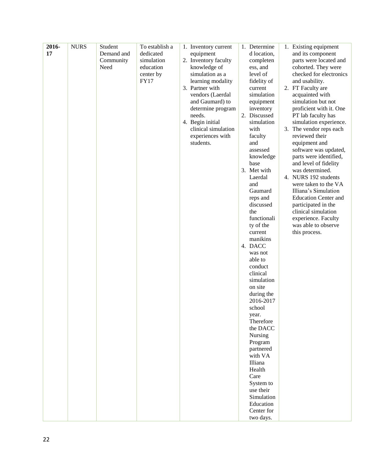| 2016- | <b>NURS</b> | Student    | To establish a | 1. Inventory current | 1. Determine       | 1. Existing equipment       |
|-------|-------------|------------|----------------|----------------------|--------------------|-----------------------------|
| 17    |             | Demand and | dedicated      | equipment            | d location,        | and its component           |
|       |             | Community  | simulation     | 2. Inventory faculty | completen          | parts were located and      |
|       |             | Need       | education      | knowledge of         | ess, and           | cohorted. They were         |
|       |             |            | center by      | simulation as a      | level of           | checked for electronics     |
|       |             |            | <b>FY17</b>    | learning modality    | fidelity of        | and usability.              |
|       |             |            |                | 3. Partner with      | current            | 2. FT Faculty are           |
|       |             |            |                | vendors (Laerdal     | simulation         | acquainted with             |
|       |             |            |                | and Gaumard) to      | equipment          | simulation but not          |
|       |             |            |                | determine program    | inventory          | proficient with it. One     |
|       |             |            |                | needs.               | 2. Discussed       | PT lab faculty has          |
|       |             |            |                | 4. Begin initial     | simulation         | simulation experience.      |
|       |             |            |                | clinical simulation  | with               | 3. The vendor reps each     |
|       |             |            |                | experiences with     | faculty            | reviewed their              |
|       |             |            |                | students.            | and                | equipment and               |
|       |             |            |                |                      | assessed           | software was updated,       |
|       |             |            |                |                      | knowledge          | parts were identified,      |
|       |             |            |                |                      | base               | and level of fidelity       |
|       |             |            |                |                      | 3. Met with        | was determined.             |
|       |             |            |                |                      | Laerdal            | 4. NURS 192 students        |
|       |             |            |                |                      | and                | were taken to the VA        |
|       |             |            |                |                      | Gaumard            | Illiana's Simulation        |
|       |             |            |                |                      | reps and           | <b>Education Center and</b> |
|       |             |            |                |                      | discussed          | participated in the         |
|       |             |            |                |                      | the                | clinical simulation         |
|       |             |            |                |                      | functionali        | experience. Faculty         |
|       |             |            |                |                      | ty of the          | was able to observe         |
|       |             |            |                |                      | current            | this process.               |
|       |             |            |                |                      | manikins           |                             |
|       |             |            |                |                      | 4. DACC            |                             |
|       |             |            |                |                      | was not<br>able to |                             |
|       |             |            |                |                      | conduct            |                             |
|       |             |            |                |                      | clinical           |                             |
|       |             |            |                |                      | simulation         |                             |
|       |             |            |                |                      | on site            |                             |
|       |             |            |                |                      | during the         |                             |
|       |             |            |                |                      | 2016-2017          |                             |
|       |             |            |                |                      | school             |                             |
|       |             |            |                |                      | year.              |                             |
|       |             |            |                |                      | Therefore          |                             |
|       |             |            |                |                      | the DACC           |                             |
|       |             |            |                |                      | Nursing            |                             |
|       |             |            |                |                      | Program            |                             |
|       |             |            |                |                      | partnered          |                             |
|       |             |            |                |                      | with VA            |                             |
|       |             |            |                |                      | Illiana            |                             |
|       |             |            |                |                      | Health             |                             |
|       |             |            |                |                      | Care               |                             |
|       |             |            |                |                      | System to          |                             |
|       |             |            |                |                      | use their          |                             |
|       |             |            |                |                      | Simulation         |                             |
|       |             |            |                |                      | Education          |                             |
|       |             |            |                |                      | Center for         |                             |
|       |             |            |                |                      | two days.          |                             |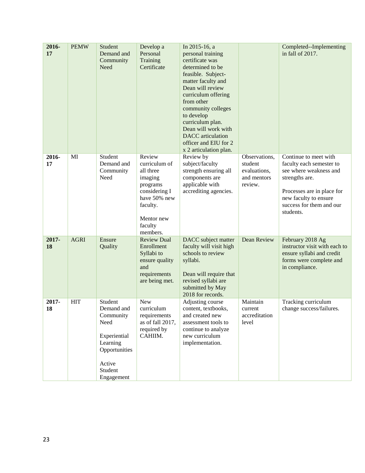| 2016-<br>17 | <b>PEMW</b> | Student<br>Demand and<br>Community<br>Need                                                                                 | Develop a<br>Personal<br>Training<br>Certificate                                                                                              | In 2015-16, a<br>personal training<br>certificate was<br>determined to be<br>feasible. Subject-<br>matter faculty and<br>Dean will review<br>curriculum offering<br>from other<br>community colleges<br>to develop<br>curriculum plan.<br>Dean will work with<br><b>DACC</b> articulation<br>officer and EIU for 2<br>x 2 articulation plan. |                                                                    | Completed--Implementing<br>in fall of 2017.                                                                                                                                                   |
|-------------|-------------|----------------------------------------------------------------------------------------------------------------------------|-----------------------------------------------------------------------------------------------------------------------------------------------|----------------------------------------------------------------------------------------------------------------------------------------------------------------------------------------------------------------------------------------------------------------------------------------------------------------------------------------------|--------------------------------------------------------------------|-----------------------------------------------------------------------------------------------------------------------------------------------------------------------------------------------|
| 2016-<br>17 | MI          | Student<br>Demand and<br>Community<br>Need                                                                                 | Review<br>curriculum of<br>all three<br>imaging<br>programs<br>considering I<br>have 50% new<br>faculty.<br>Mentor new<br>faculty<br>members. | Review by<br>subject/faculty<br>strength ensuring all<br>components are<br>applicable with<br>accrediting agencies.                                                                                                                                                                                                                          | Observations,<br>student<br>evaluations,<br>and mentors<br>review. | Continue to meet with<br>faculty each semester to<br>see where weakness and<br>strengths are.<br>Processes are in place for<br>new faculty to ensure<br>success for them and our<br>students. |
| 2017-<br>18 | <b>AGRI</b> | Ensure<br>Quality                                                                                                          | <b>Review Dual</b><br>Enrollment<br>Syllabi to<br>ensure quality<br>and<br>requirements<br>are being met.                                     | DACC subject matter<br>faculty will visit high<br>schools to review<br>syllabi.<br>Dean will require that<br>revised syllabi are<br>submitted by May<br>2018 for records.                                                                                                                                                                    | Dean Review                                                        | February 2018 Ag<br>instructor visit with each to<br>ensure syllabi and credit<br>forms were complete and<br>in compliance.                                                                   |
| 2017-<br>18 | <b>HIT</b>  | Student<br>Demand and<br>Community<br>Need<br>Experiential<br>Learning<br>Opportunities<br>Active<br>Student<br>Engagement | <b>New</b><br>curriculum<br>requirements<br>as of fall 2017,<br>required by<br>CAHIIM.                                                        | Adjusting course<br>content, textbooks,<br>and created new<br>assessment tools to<br>continue to analyze<br>new curriculum<br>implementation.                                                                                                                                                                                                | Maintain<br>current<br>accreditation<br>level                      | Tracking curriculum<br>change success/failures.                                                                                                                                               |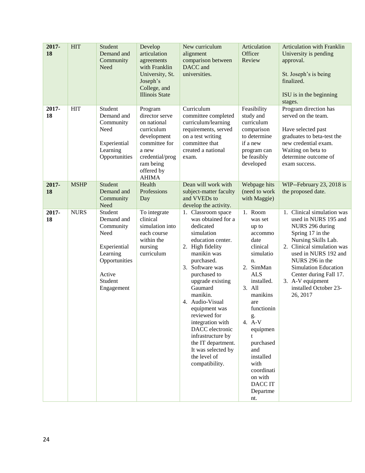| 2017-<br>18 | <b>HIT</b>  | Student<br>Demand and<br>Community<br>Need                                                                                 | Develop<br>articulation<br>agreements<br>with Franklin<br>University, St.<br>Joseph's<br>College, and<br><b>Illinois State</b>                                | New curriculum<br>alignment<br>comparison between<br>DACC and<br>universities.                                                                                                                                                                                                                                                                                                                                        | Articulation<br>Officer<br>Review                                                                                                                                                                                                                                                                  | <b>Articulation with Franklin</b><br>University is pending<br>approval.<br>St. Joseph's is being<br>finalized.<br>ISU is in the beginning<br>stages.                                                                                                                                                        |
|-------------|-------------|----------------------------------------------------------------------------------------------------------------------------|---------------------------------------------------------------------------------------------------------------------------------------------------------------|-----------------------------------------------------------------------------------------------------------------------------------------------------------------------------------------------------------------------------------------------------------------------------------------------------------------------------------------------------------------------------------------------------------------------|----------------------------------------------------------------------------------------------------------------------------------------------------------------------------------------------------------------------------------------------------------------------------------------------------|-------------------------------------------------------------------------------------------------------------------------------------------------------------------------------------------------------------------------------------------------------------------------------------------------------------|
| 2017-<br>18 | <b>HIT</b>  | Student<br>Demand and<br>Community<br>Need<br>Experiential<br>Learning<br>Opportunities                                    | Program<br>director serve<br>on national<br>curriculum<br>development<br>committee for<br>a new<br>credential/prog<br>ram being<br>offered by<br><b>AHIMA</b> | Curriculum<br>committee completed<br>curriculum/learning<br>requirements, served<br>on a test writing<br>committee that<br>created a national<br>exam.                                                                                                                                                                                                                                                                | Feasibility<br>study and<br>curriculum<br>comparison<br>to determine<br>if a new<br>program can<br>be feasibly<br>developed                                                                                                                                                                        | Program direction has<br>served on the team.<br>Have selected past<br>graduates to beta-test the<br>new credential exam.<br>Waiting on beta to<br>determine outcome of<br>exam success.                                                                                                                     |
| 2017-<br>18 | <b>MSHP</b> | Student<br>Demand and<br>Community<br>Need                                                                                 | Health<br>Professions<br>Day                                                                                                                                  | Dean will work with<br>subject-matter faculty<br>and VVEDs to<br>develop the activity.                                                                                                                                                                                                                                                                                                                                | Webpage hits<br>(need to work<br>with Maggie)                                                                                                                                                                                                                                                      | WIP--February 23, 2018 is<br>the proposed date.                                                                                                                                                                                                                                                             |
| 2017-<br>18 | <b>NURS</b> | Student<br>Demand and<br>Community<br>Need<br>Experiential<br>Learning<br>Opportunities<br>Active<br>Student<br>Engagement | To integrate<br>clinical<br>simulation into<br>each course<br>within the<br>nursing<br>curriculum                                                             | 1. Classroom space<br>was obtained for a<br>dedicated<br>simulation<br>education center.<br>2. High fidelity<br>manikin was<br>purchased.<br>3. Software was<br>purchased to<br>upgrade existing<br>Gaumard<br>manikin.<br>4. Audio-Visual<br>equipment was<br>reviewed for<br>integration with<br>DACC electronic<br>infrastructure by<br>the IT department.<br>It was selected by<br>the level of<br>compatibility. | 1. Room<br>was set<br>up to<br>accommo<br>date<br>clinical<br>simulatio<br>n.<br>2. SimMan<br><b>ALS</b><br>installed.<br>3. All<br>manikins<br>are<br>functionin<br>g.<br>4. A-V<br>equipmen<br>t<br>purchased<br>and<br>installed<br>with<br>coordinati<br>on with<br>DACC IT<br>Departme<br>nt. | 1. Clinical simulation was<br>used in NURS 195 and<br>NURS 296 during<br>Spring 17 in the<br>Nursing Skills Lab.<br>2. Clinical simulation was<br>used in NURS 192 and<br>NURS 296 in the<br><b>Simulation Education</b><br>Center during Fall 17.<br>3. A-V equipment<br>installed October 23-<br>26, 2017 |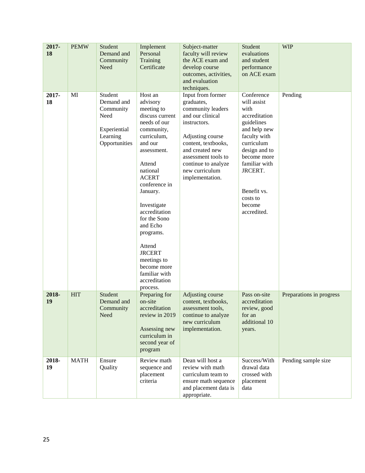| $2017 -$<br>18 | <b>PEMW</b> | Student<br>Demand and<br>Community<br>Need                                              | Implement<br>Personal<br>Training<br>Certificate                                                                                                                                                                                                                                                                                                                               | Subject-matter<br>faculty will review<br>the ACE exam and<br>develop course<br>outcomes, activities,<br>and evaluation<br>techniques.                                                                                                     | Student<br>evaluations<br>and student<br>performance<br>on ACE exam                                                                                                                                                            | <b>WIP</b>               |
|----------------|-------------|-----------------------------------------------------------------------------------------|--------------------------------------------------------------------------------------------------------------------------------------------------------------------------------------------------------------------------------------------------------------------------------------------------------------------------------------------------------------------------------|-------------------------------------------------------------------------------------------------------------------------------------------------------------------------------------------------------------------------------------------|--------------------------------------------------------------------------------------------------------------------------------------------------------------------------------------------------------------------------------|--------------------------|
| 2017-<br>18    | MI          | Student<br>Demand and<br>Community<br>Need<br>Experiential<br>Learning<br>Opportunities | Host an<br>advisory<br>meeting to<br>discuss current<br>needs of our<br>community,<br>curriculum,<br>and our<br>assessment.<br>Attend<br>national<br><b>ACERT</b><br>conference in<br>January.<br>Investigate<br>accreditation<br>for the Sono<br>and Echo<br>programs.<br>Attend<br><b>JRCERT</b><br>meetings to<br>become more<br>familiar with<br>accreditation<br>process. | Input from former<br>graduates,<br>community leaders<br>and our clinical<br>instructors.<br>Adjusting course<br>content, textbooks,<br>and created new<br>assessment tools to<br>continue to analyze<br>new curriculum<br>implementation. | Conference<br>will assist<br>with<br>accreditation<br>guidelines<br>and help new<br>faculty with<br>curriculum<br>design and to<br>become more<br>familiar with<br>JRCERT.<br>Benefit vs.<br>costs to<br>become<br>accredited. | Pending                  |
| 2018-<br>19    | <b>HIT</b>  | Student<br>Demand and<br>Community<br>Need                                              | Preparing for<br>on-site<br>accreditation<br>review in 2019<br>Assessing new<br>curriculum in<br>second year of<br>program                                                                                                                                                                                                                                                     | Adjusting course<br>content, textbooks,<br>assessment tools.<br>continue to analyze<br>new curriculum<br>implementation.                                                                                                                  | Pass on-site<br>accreditation<br>review, good<br>for an<br>additional 10<br>years.                                                                                                                                             | Preparations in progress |
| 2018-<br>19    | <b>MATH</b> | Ensure<br>Quality                                                                       | Review math<br>sequence and<br>placement<br>criteria                                                                                                                                                                                                                                                                                                                           | Dean will host a<br>review with math<br>curriculum team to<br>ensure math sequence<br>and placement data is<br>appropriate.                                                                                                               | Success/With<br>drawal data<br>crossed with<br>placement<br>data                                                                                                                                                               | Pending sample size      |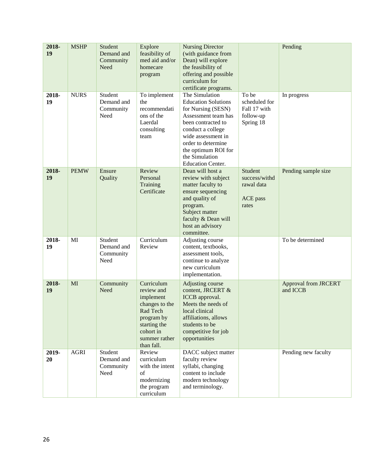| 2018-<br>19 | <b>MSHP</b> | Student<br>Demand and<br>Community<br>Need | Explore<br>feasibility of<br>med aid and/or<br>homecare<br>program                                                                            | <b>Nursing Director</b><br>(with guidance from<br>Dean) will explore<br>the feasibility of<br>offering and possible<br>curriculum for<br>certificate programs.                                                                                        |                                                                  | Pending                                 |
|-------------|-------------|--------------------------------------------|-----------------------------------------------------------------------------------------------------------------------------------------------|-------------------------------------------------------------------------------------------------------------------------------------------------------------------------------------------------------------------------------------------------------|------------------------------------------------------------------|-----------------------------------------|
| 2018-<br>19 | <b>NURS</b> | Student<br>Demand and<br>Community<br>Need | To implement<br>the<br>recommendati<br>ons of the<br>Laerdal<br>consulting<br>team                                                            | The Simulation<br><b>Education Solutions</b><br>for Nursing (SESN)<br>Assessment team has<br>been contracted to<br>conduct a college<br>wide assessment in<br>order to determine<br>the optimum ROI for<br>the Simulation<br><b>Education Center.</b> | To be<br>scheduled for<br>Fall 17 with<br>follow-up<br>Spring 18 | In progress                             |
| 2018-<br>19 | <b>PEMW</b> | Ensure<br>Quality                          | Review<br>Personal<br>Training<br>Certificate                                                                                                 | Dean will host a<br>review with subject<br>matter faculty to<br>ensure sequencing<br>and quality of<br>program.<br>Subject matter<br>faculty & Dean will<br>host an advisory<br>committee.                                                            | Student<br>success/withd<br>rawal data<br>ACE pass<br>rates      | Pending sample size                     |
| 2018-<br>19 | MI          | Student<br>Demand and<br>Community<br>Need | Curriculum<br>Review                                                                                                                          | Adjusting course<br>content, textbooks,<br>assessment tools,<br>continue to analyze<br>new curriculum<br>implementation.                                                                                                                              |                                                                  | To be determined                        |
| 2018-<br>19 | MI          | Community<br>Need                          | Curriculum<br>review and<br>implement<br>changes to the<br>Rad Tech<br>program by<br>starting the<br>cohort in<br>summer rather<br>than fall. | Adjusting course<br>content, JRCERT &<br>ICCB approval.<br>Meets the needs of<br>local clinical<br>affiliations, allows<br>students to be<br>competitive for job<br>opportunities                                                                     |                                                                  | <b>Approval from JRCERT</b><br>and ICCB |
| 2019-<br>20 | <b>AGRI</b> | Student<br>Demand and<br>Community<br>Need | Review<br>curriculum<br>with the intent<br>of<br>modernizing<br>the program<br>curriculum                                                     | DACC subject matter<br>faculty review<br>syllabi, changing<br>content to include<br>modern technology<br>and terminology.                                                                                                                             |                                                                  | Pending new faculty                     |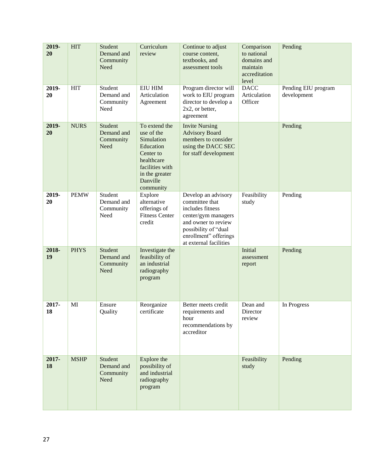| 2019-<br>20 | <b>HIT</b>  | Student<br>Demand and<br>Community<br>Need | Curriculum<br>review                                                                                                                            | Continue to adjust<br>course content,<br>textbooks, and<br>assessment tools                                                                                                        | Comparison<br>to national<br>domains and<br>maintain<br>accreditation<br>level | Pending                            |
|-------------|-------------|--------------------------------------------|-------------------------------------------------------------------------------------------------------------------------------------------------|------------------------------------------------------------------------------------------------------------------------------------------------------------------------------------|--------------------------------------------------------------------------------|------------------------------------|
| 2019-<br>20 | <b>HIT</b>  | Student<br>Demand and<br>Community<br>Need | <b>EIU HIM</b><br>Articulation<br>Agreement                                                                                                     | Program director will<br>work to EIU program<br>director to develop a<br>2x2, or better,<br>agreement                                                                              | <b>DACC</b><br>Articulation<br>Officer                                         | Pending EIU program<br>development |
| 2019-<br>20 | <b>NURS</b> | Student<br>Demand and<br>Community<br>Need | To extend the<br>use of the<br>Simulation<br>Education<br>Center to<br>healthcare<br>facilities with<br>in the greater<br>Danville<br>community | <b>Invite Nursing</b><br><b>Advisory Board</b><br>members to consider<br>using the DACC SEC<br>for staff development                                                               |                                                                                | Pending                            |
| 2019-<br>20 | <b>PEMW</b> | Student<br>Demand and<br>Community<br>Need | Explore<br>alternative<br>offerings of<br><b>Fitness Center</b><br>credit                                                                       | Develop an advisory<br>committee that<br>includes fitness<br>center/gym managers<br>and owner to review<br>possibility of "dual<br>enrollment" offerings<br>at external facilities | Feasibility<br>study                                                           | Pending                            |
| 2018-<br>19 | <b>PHYS</b> | Student<br>Demand and<br>Community<br>Need | Investigate the<br>feasibility of<br>an industrial<br>radiography<br>program                                                                    |                                                                                                                                                                                    | Initial<br>assessment<br>report                                                | Pending                            |
| 2017-<br>18 | MI          | Ensure<br>Quality                          | Reorganize<br>certificate                                                                                                                       | Better meets credit<br>requirements and<br>hour<br>recommendations by<br>accreditor                                                                                                | Dean and<br>Director<br>review                                                 | In Progress                        |
| 2017-<br>18 | <b>MSHP</b> | Student<br>Demand and<br>Community<br>Need | Explore the<br>possibility of<br>and industrial<br>radiography<br>program                                                                       |                                                                                                                                                                                    | Feasibility<br>study                                                           | Pending                            |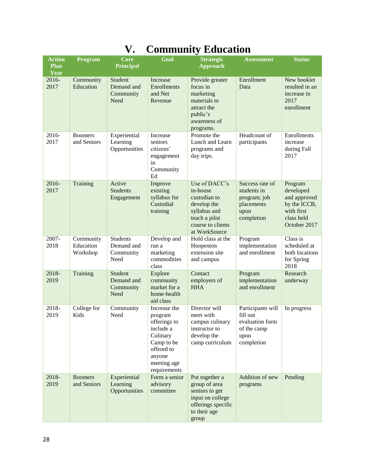| <b>Action</b>       | Program                            | <b>Core</b>                                        | Goal                                                                                                                                  | <b>Strategic</b>                                                                                                                | <b>Assessment</b>                                                                     | <b>Status</b>                                                                                    |
|---------------------|------------------------------------|----------------------------------------------------|---------------------------------------------------------------------------------------------------------------------------------------|---------------------------------------------------------------------------------------------------------------------------------|---------------------------------------------------------------------------------------|--------------------------------------------------------------------------------------------------|
| <b>Plan</b><br>Year |                                    | <b>Principal</b>                                   |                                                                                                                                       | <b>Approach</b>                                                                                                                 |                                                                                       |                                                                                                  |
| 2016-<br>2017       | Community<br>Education             | Student<br>Demand and<br>Community<br>Need         | Increase<br>Enrollments<br>and Net<br>Revenue                                                                                         | Provide greater<br>focus in<br>marketing<br>materials to<br>attract the<br>public's<br>awareness of<br>programs.                | Enrollment<br>Data                                                                    | New booklet<br>resulted in an<br>increase in<br>2017<br>enrollment                               |
| 2016-<br>2017       | <b>Boomers</b><br>and Seniors      | Experiential<br>Learning<br>Opportunities          | Increase<br>seniors<br>citizens'<br>engagement<br>in<br>Community<br>Ed                                                               | Promote the<br>Lunch and Learn<br>programs and<br>day trips.                                                                    | Headcount of<br>participants                                                          | Enrollments<br>increase<br>during Fall<br>2017                                                   |
| 2016-<br>2017       | Training                           | Active<br><b>Students</b><br>Engagement            | Improve<br>existing<br>syllabus for<br>Custodial<br>training                                                                          | Use of DACC's<br>in-house<br>custodian to<br>develop the<br>syllabus and<br>teach a pilot<br>course to clients<br>at WorkSource | Success rate of<br>students in<br>program; job<br>placements<br>upon<br>completion    | Program<br>developed<br>and approved<br>by the ICCB,<br>with first<br>class held<br>October 2017 |
| 2007-<br>2018       | Community<br>Education<br>Workshop | <b>Students</b><br>Demand and<br>Community<br>Need | Develop and<br>run a<br>marketing<br>commodities<br>class                                                                             | Hold class at the<br>Hoopeston<br>extension site<br>and campus                                                                  | Program<br>implementation<br>and enrollment                                           | Class is<br>scheduled at<br>both locations<br>for Spring<br>2018                                 |
| 2018-<br>2019       | Training                           | Student<br>Demand and<br>Community<br>Need         | Explore<br>community<br>market for a<br>home-health<br>aid class                                                                      | Contact<br>employers of<br><b>HHA</b>                                                                                           | Program<br>implementation<br>and enrollment                                           | Research<br>underway                                                                             |
| 2018-<br>2019       | College for<br>Kids                | Community<br>Need                                  | Increase the<br>program<br>offerings to<br>include a<br>Culinary<br>Camp to be<br>offered to<br>anyone<br>meeting age<br>requirements | Director will<br>meet with<br>campus culinary<br>instructor to<br>develop the<br>camp curriculum                                | Participants will<br>fill out<br>evaluation form<br>of the camp<br>upon<br>completion | In progress                                                                                      |
| 2018-<br>2019       | <b>Boomers</b><br>and Seniors      | Experiential<br>Learning<br>Opportunities          | Form a senior<br>advisory<br>committee                                                                                                | Put together a<br>group of area<br>seniors to get<br>input on college<br>offerings specific<br>to their age<br>group            | Addition of new<br>programs                                                           | Pending                                                                                          |

### **V. Community Education**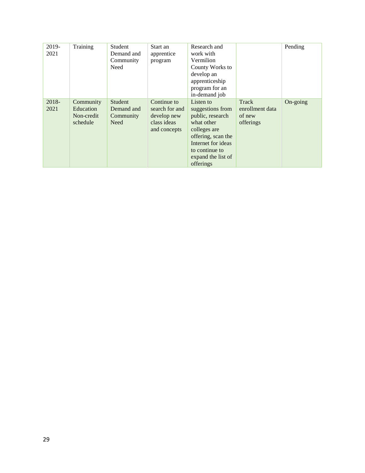| 2019-<br>2021 | Training                                         | Student<br>Demand and<br>Community<br>Need | Start an<br>apprentice<br>program                                           | Research and<br>work with<br>Vermilion<br>County Works to<br>develop an<br>apprenticeship<br>program for an<br>in-demand job                                                     |                                                 | Pending  |
|---------------|--------------------------------------------------|--------------------------------------------|-----------------------------------------------------------------------------|----------------------------------------------------------------------------------------------------------------------------------------------------------------------------------|-------------------------------------------------|----------|
| 2018-<br>2021 | Community<br>Education<br>Non-credit<br>schedule | Student<br>Demand and<br>Community<br>Need | Continue to<br>search for and<br>develop new<br>class ideas<br>and concepts | Listen to<br>suggestions from<br>public, research<br>what other<br>colleges are<br>offering, scan the<br>Internet for ideas<br>to continue to<br>expand the list of<br>offerings | Track<br>enrollment data<br>of new<br>offerings | On-going |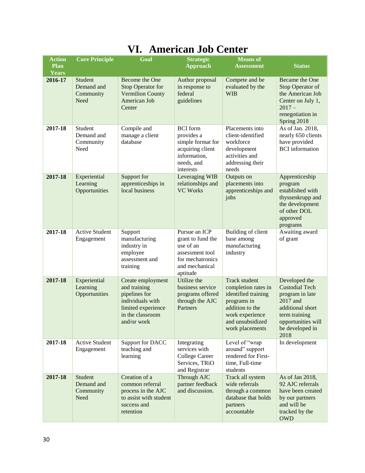| <b>Action</b><br><b>Plan</b> | <b>Core Principle</b>                      | Goal                                                                                                                            | <b>Strategic</b><br><b>Approach</b>                                                                                  | <b>Means</b> of<br><b>Assessment</b>                                                                                                                           | <b>Status</b>                                                                                                                                               |
|------------------------------|--------------------------------------------|---------------------------------------------------------------------------------------------------------------------------------|----------------------------------------------------------------------------------------------------------------------|----------------------------------------------------------------------------------------------------------------------------------------------------------------|-------------------------------------------------------------------------------------------------------------------------------------------------------------|
| <b>Years</b>                 |                                            |                                                                                                                                 |                                                                                                                      |                                                                                                                                                                |                                                                                                                                                             |
| 2016-17                      | Student<br>Demand and<br>Community<br>Need | <b>Become the One</b><br><b>Stop Operator for</b><br><b>Vermilion County</b><br>American Job<br>Center                          | Author proposal<br>in response to<br>federal<br>guidelines                                                           | Compete and be<br>evaluated by the<br><b>WIB</b>                                                                                                               | Became the One<br>Stop Operator of<br>the American Job<br>Center on July 1,<br>$2017 -$<br>renegotiation in<br>Spring 2018                                  |
| 2017-18                      | Student<br>Demand and<br>Community<br>Need | Compile and<br>manage a client<br>database                                                                                      | <b>BCI</b> form<br>provides a<br>simple format for<br>acquiring client<br>information,<br>needs, and<br>interests    | Placements into<br>client-identified<br>workforce<br>development<br>activities and<br>addressing their<br>needs                                                | As of Jan. 2018,<br>nearly 650 clients<br>have provided<br><b>BCI</b> information                                                                           |
| 2017-18                      | Experiential<br>Learning<br>Opportunities  | Support for<br>apprenticeships in<br>local business                                                                             | Leveraging WIB<br>relationships and<br><b>VC Works</b>                                                               | Outputs on<br>placements into<br>apprenticeships and<br>jobs                                                                                                   | Apprenticeship<br>program<br>established with<br>thyssenkrupp and<br>the development<br>of other DOL<br>approved<br>programs                                |
| 2017-18                      | <b>Active Student</b><br>Engagement        | Support<br>manufacturing<br>industry in<br>employee<br>assessment and<br>training                                               | Pursue an ICP<br>grant to fund the<br>use of an<br>assessment tool<br>for mechatronics<br>and mechanical<br>aptitude | Building of client<br>base among<br>manufacturing<br>industry                                                                                                  | Awaiting award<br>of grant                                                                                                                                  |
| 2017-18                      | Experiential<br>Learning<br>Opportunities  | Create employment<br>and training<br>pipelines for<br>individuals with<br>limited experience<br>in the classroom<br>and/or work | Utilize the<br>business service<br>programs offered<br>through the AJC<br>Partners                                   | <b>Track student</b><br>completion rates in<br>identified training<br>programs in<br>addition to the<br>work experience<br>and unsubsidized<br>work placements | Developed the<br><b>Custodial Tech</b><br>program in late<br>2017 and<br>additional short<br>term training<br>opportunities will<br>be developed in<br>2018 |
| 2017-18                      | <b>Active Student</b><br>Engagement        | Support for DACC<br>teaching and<br>learning                                                                                    | Integrating<br>services with<br><b>College Career</b><br>Services, TRiO<br>and Registrar                             | Level of "wrap<br>around" support<br>rendered for First-<br>time, Full-time<br>students                                                                        | In development                                                                                                                                              |
| 2017-18                      | Student<br>Demand and<br>Community<br>Need | Creation of a<br>common referral<br>process in the AJC<br>to assist with student<br>success and<br>retention                    | Through AJC<br>partner feedback<br>and discussion.                                                                   | Track all system<br>wide referrals<br>through a common<br>database that holds<br>partners<br>accountable                                                       | As of Jan 2018,<br>92 AJC referrals<br>have been created<br>by our partners<br>and will be<br>tracked by the<br><b>OWD</b>                                  |

### **VI. American Job Center**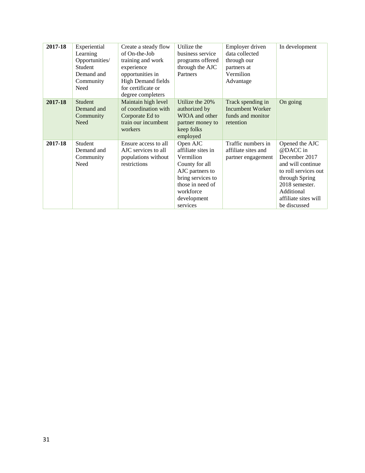| 2017-18 | Experiential   | Create a steady flow      | Utilize the        | Employer driven         | In development       |
|---------|----------------|---------------------------|--------------------|-------------------------|----------------------|
|         | Learning       | of On-the-Job             | business service   | data collected          |                      |
|         | Opportunities/ | training and work         | programs offered   | through our             |                      |
|         | Student        | experience                | through the AJC    | partners at             |                      |
|         | Demand and     | opportunities in          | Partners           | Vermilion               |                      |
|         | Community      | <b>High Demand fields</b> |                    | Advantage               |                      |
|         | Need           | for certificate or        |                    |                         |                      |
|         |                | degree completers         |                    |                         |                      |
| 2017-18 | Student        | Maintain high level       | Utilize the 20%    | Track spending in       | On going             |
|         | Demand and     | of coordination with      | authorized by      | <b>Incumbent Worker</b> |                      |
|         | Community      | Corporate Ed to           | WIOA and other     | funds and monitor       |                      |
|         | Need           | train our incumbent       | partner money to   | retention               |                      |
|         |                | workers                   | keep folks         |                         |                      |
|         |                |                           | employed           |                         |                      |
| 2017-18 | Student        | Ensure access to all      | Open AJC           | Traffic numbers in      | Opened the AJC       |
|         | Demand and     | AJC services to all       | affiliate sites in | affiliate sites and     | @DACC in             |
|         | Community      | populations without       | Vermilion          | partner engagement      | December 2017        |
|         | Need           | restrictions              | County for all     |                         | and will continue    |
|         |                |                           | AJC partners to    |                         | to roll services out |
|         |                |                           | bring services to  |                         | through Spring       |
|         |                |                           | those in need of   |                         | 2018 semester.       |
|         |                |                           | workforce          |                         | Additional           |
|         |                |                           | development        |                         | affiliate sites will |
|         |                |                           | services           |                         | be discussed         |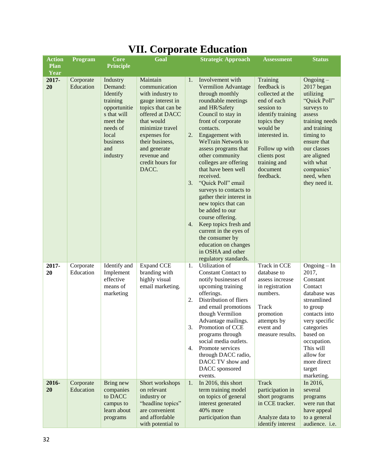| <b>Action</b><br>Plan | Program                | <b>Core</b>                                                                                                                                                    | Goal                                                                                                                                                                                                                                        |                      | <b>Strategic Approach</b>                                                                                                                                                                                                                                                                                                                                                                                                                                                                                                                  | <b>Assessment</b>                                                                                                                                                                                                     | <b>Status</b>                                                                                                                                                                                                                         |
|-----------------------|------------------------|----------------------------------------------------------------------------------------------------------------------------------------------------------------|---------------------------------------------------------------------------------------------------------------------------------------------------------------------------------------------------------------------------------------------|----------------------|--------------------------------------------------------------------------------------------------------------------------------------------------------------------------------------------------------------------------------------------------------------------------------------------------------------------------------------------------------------------------------------------------------------------------------------------------------------------------------------------------------------------------------------------|-----------------------------------------------------------------------------------------------------------------------------------------------------------------------------------------------------------------------|---------------------------------------------------------------------------------------------------------------------------------------------------------------------------------------------------------------------------------------|
| Year<br>2017-<br>20   | Corporate<br>Education | <b>Principle</b><br>Industry<br>Demand:<br>Identify<br>training<br>opportunitie<br>s that will<br>meet the<br>needs of<br>local<br>business<br>and<br>industry | Maintain<br>communication<br>with industry to<br>gauge interest in<br>topics that can be<br>offered at DACC<br>that would<br>minimize travel<br>expenses for<br>their business,<br>and generate<br>revenue and<br>credit hours for<br>DACC. | 1.<br>2.<br>3.<br>4. | Involvement with<br><b>Vermilion Advantage</b><br>through monthly<br>roundtable meetings<br>and HR/Safety<br>Council to stay in<br>front of corporate<br>contacts.<br>Engagement with<br><b>WeTrain Network to</b><br>assess programs that<br>other community<br>colleges are offering<br>that have been well<br>received.<br>"Quick Poll" email<br>surveys to contacts to<br>gather their interest in<br>new topics that can<br>be added to our<br>course offering.<br>Keep topics fresh and<br>current in the eyes of<br>the consumer by | Training<br>feedback is<br>collected at the<br>end of each<br>session to<br>identify training<br>topics they<br>would be<br>interested in.<br>Follow up with<br>clients post<br>training and<br>document<br>feedback. | $Ongoing -$<br>2017 began<br>utilizing<br>"Quick Poll"<br>surveys to<br>assess<br>training needs<br>and training<br>timing to<br>ensure that<br>our classes<br>are aligned<br>with what<br>companies'<br>need, when<br>they need it.  |
| 2017-<br>20           | Corporate<br>Education | Identify and<br>Implement<br>effective<br>means of<br>marketing                                                                                                | <b>Expand CCE</b><br>branding with<br>highly visual<br>email marketing.                                                                                                                                                                     | 1.<br>2.<br>3.<br>4. | education on changes<br>in OSHA and other<br>regulatory standards.<br>Utilization of<br><b>Constant Contact to</b><br>notify businesses of<br>upcoming training<br>offerings.<br>Distribution of fliers<br>and email promotions<br>though Vermilion<br>Advantage mailings.<br>Promotion of CCE<br>programs through<br>social media outlets.<br>Promote services<br>through DACC radio,<br>DACC TV show and<br>DACC sponsored<br>events.                                                                                                    | Track in CCE<br>database to<br>assess increase<br>in registration<br>numbers.<br>Track<br>promotion<br>attempts by<br>event and<br>measure results.                                                                   | $Ongoing - In$<br>2017,<br>Constant<br>Contact<br>database was<br>streamlined<br>to group<br>contacts into<br>very specific<br>categories<br>based on<br>occupation.<br>This will<br>allow for<br>more direct<br>target<br>marketing. |
| 2016-<br>20           | Corporate<br>Education | Bring new<br>companies<br>to DACC<br>campus to<br>learn about<br>programs                                                                                      | Short workshops<br>on relevant<br>industry or<br>"headline topics"<br>are convenient<br>and affordable<br>with potential to                                                                                                                 | 1.                   | In 2016, this short<br>term training model<br>on topics of general<br>interest generated<br>40% more<br>participation than                                                                                                                                                                                                                                                                                                                                                                                                                 | <b>Track</b><br>participation in<br>short programs<br>in CCE tracker.<br>Analyze data to<br>identify interest                                                                                                         | In 2016,<br>several<br>programs<br>were run that<br>have appeal<br>to a general<br>audience. i.e.                                                                                                                                     |

#### **VII. Corporate Education**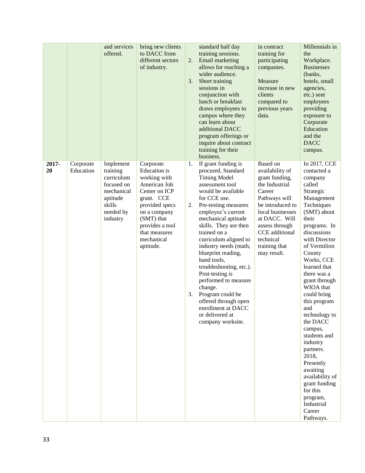|             |                        | and services<br>offered.                                                                                       | bring new clients<br>to DACC from<br>different sectors<br>of industry.                                                                                                                                         | 2.<br>3.       | standard half day<br>training sessions.<br>Email marketing<br>allows for reaching a<br>wider audience.<br>Short training<br>sessions in<br>conjunction with<br>lunch or breakfast<br>draws employees to<br>campus where they<br>can learn about<br>additional DACC<br>program offerings or<br>inquire about contract<br>training for their<br>business.                                                                                                                                                                   | in contract<br>training for<br>participating<br>companies.<br>Measure<br>increase in new<br>clients<br>compared to<br>previous years<br>data.                                                                                        | Millennials in<br>the<br>Workplace.<br><b>Businesses</b><br>(banks,<br>hotels, small<br>agencies,<br>etc.) sent<br>employees<br>providing<br>exposure to<br>Corporate<br>Education<br>and the<br><b>DACC</b><br>campus.                                                                                                                                                                                                                                                                                                          |
|-------------|------------------------|----------------------------------------------------------------------------------------------------------------|----------------------------------------------------------------------------------------------------------------------------------------------------------------------------------------------------------------|----------------|---------------------------------------------------------------------------------------------------------------------------------------------------------------------------------------------------------------------------------------------------------------------------------------------------------------------------------------------------------------------------------------------------------------------------------------------------------------------------------------------------------------------------|--------------------------------------------------------------------------------------------------------------------------------------------------------------------------------------------------------------------------------------|----------------------------------------------------------------------------------------------------------------------------------------------------------------------------------------------------------------------------------------------------------------------------------------------------------------------------------------------------------------------------------------------------------------------------------------------------------------------------------------------------------------------------------|
| 2017-<br>20 | Corporate<br>Education | Implement<br>training<br>curriculum<br>focused on<br>mechanical<br>aptitude<br>skills<br>needed by<br>industry | Corporate<br><b>Education</b> is<br>working with<br>American Job<br>Center on ICP<br>grant. CCE<br>provided specs<br>on a company<br>(SMT) that<br>provides a tool<br>that measures<br>mechanical<br>aptitude. | 1.<br>2.<br>3. | If grant funding is<br>procured, Standard<br><b>Timing Model</b><br>assessment tool<br>would be available<br>for CCE use.<br>Pre-testing measures<br>employee's current<br>mechanical aptitude<br>skills. They are then<br>trained on a<br>curriculum aligned to<br>industry needs (math,<br>blueprint reading,<br>hand tools,<br>troubleshooting, etc.).<br>Post-testing is<br>performed to measure<br>change.<br>Program could be<br>offered through open<br>enrollment at DACC<br>or delivered at<br>company worksite. | Based on<br>availability of<br>grant funding,<br>the Industrial<br>Career<br>Pathways will<br>be introduced to<br>local businesses<br>at DACC. Will<br>assess through<br>CCE additional<br>technical<br>training that<br>may result. | In 2017, CCE<br>contacted a<br>company<br>called<br>Strategic<br>Management<br>Techniques<br>(SMT) about<br>their<br>programs. In<br>discussions<br>with Director<br>of Vermilion<br>County<br>Works, CCE<br>learned that<br>there was a<br>grant through<br>WIOA that<br>could bring<br>this program<br>and<br>technology to<br>the DACC<br>campus,<br>students and<br>industry<br>partners.<br>2018,<br>Presently<br>awaiting<br>availability of<br>grant funding<br>for this<br>program,<br>Industrial<br>Career<br>Pathways. |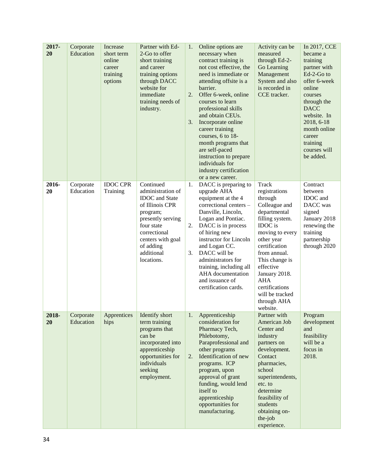| 2017-<br>20 | Corporate<br>Education | Increase<br>short term<br>online<br>career<br>training<br>options | Partner with Ed-<br>2-Go to offer<br>short training<br>and career<br>training options<br>through DACC<br>website for<br>immediate<br>training needs of<br>industry.                                     | 1.<br>2.<br>3. | Online options are<br>necessary when<br>contract training is<br>not cost effective, the<br>need is immediate or<br>attending offsite is a<br>barrier.<br>Offer 6-week, online<br>courses to learn<br>professional skills<br>and obtain CEUs.<br>Incorporate online<br>career training<br>courses, 6 to 18-<br>month programs that<br>are self-paced<br>instruction to prepare<br>individuals for<br>industry certification<br>or a new career. | Activity can be<br>measured<br>through Ed-2-<br>Go Learning<br>Management<br>System and also<br>is recorded in<br>CCE tracker.                                                                                                                                                                   | In 2017, CCE<br>became a<br>training<br>partner with<br>Ed-2-Go to<br>offer 6-week<br>online<br>courses<br>through the<br><b>DACC</b><br>website. In<br>2018, 6-18<br>month online<br>career<br>training<br>courses will<br>be added. |
|-------------|------------------------|-------------------------------------------------------------------|---------------------------------------------------------------------------------------------------------------------------------------------------------------------------------------------------------|----------------|------------------------------------------------------------------------------------------------------------------------------------------------------------------------------------------------------------------------------------------------------------------------------------------------------------------------------------------------------------------------------------------------------------------------------------------------|--------------------------------------------------------------------------------------------------------------------------------------------------------------------------------------------------------------------------------------------------------------------------------------------------|---------------------------------------------------------------------------------------------------------------------------------------------------------------------------------------------------------------------------------------|
| 2016-<br>20 | Corporate<br>Education | <b>IDOC CPR</b><br>Training                                       | Continued<br>administration of<br><b>IDOC</b> and State<br>of Illinois CPR<br>program;<br>presently serving<br>four state<br>correctional<br>centers with goal<br>of adding<br>additional<br>locations. | 1.<br>2.<br>3. | DACC is preparing to<br>upgrade AHA<br>equipment at the 4<br>correctional centers -<br>Danville, Lincoln,<br>Logan and Pontiac.<br>DACC is in process<br>of hiring new<br>instructor for Lincoln<br>and Logan CC.<br>DACC will be<br>administrators for<br>training, including all<br>AHA documentation<br>and issuance of<br>certification cards.                                                                                             | Track<br>registrations<br>through<br>Colleague and<br>departmental<br>filling system.<br>IDOC is<br>moving to every<br>other year<br>certification<br>from annual.<br>This change is<br>effective<br>January 2018.<br><b>AHA</b><br>certifications<br>will be tracked<br>through AHA<br>website. | Contract<br>between<br>IDOC and<br>DACC was<br>signed<br>January 2018<br>renewing the<br>training<br>partnership<br>through 2020                                                                                                      |
| 2018-<br>20 | Corporate<br>Education | Apprentices<br>hips                                               | Identify short<br>term training<br>programs that<br>can be<br>incorporated into<br>apprenticeship<br>opportunities for<br>individuals<br>seeking<br>employment.                                         | 1.<br>2.       | Apprenticeship<br>consideration for<br>Pharmacy Tech,<br>Phlebotomy,<br>Paraprofessional and<br>other programs<br>Identification of new<br>programs. ICP<br>program, upon<br>approval of grant<br>funding, would lend<br>itself to<br>apprenticeship<br>opportunities for<br>manufacturing.                                                                                                                                                    | Partner with<br>American Job<br>Center and<br>industry<br>partners on<br>development.<br>Contact<br>pharmacies,<br>school<br>superintendents,<br>etc. to<br>determine<br>feasibility of<br>students<br>obtaining on-<br>the-job<br>experience.                                                   | Program<br>development<br>and<br>feasibility<br>will be a<br>focus in<br>2018.                                                                                                                                                        |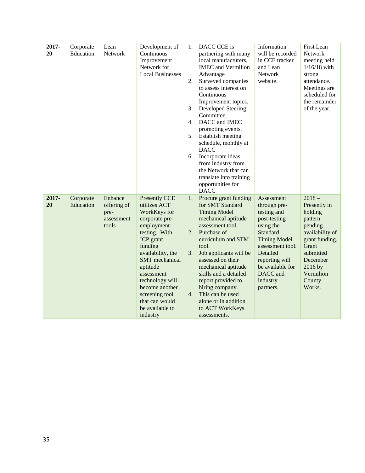| 2017-<br>20 | Corporate<br>Education | Lean<br>Network                                       | Development of<br>Continuous<br>Improvement<br>Network for<br><b>Local Businesses</b>                                                                                                                                                                                                                  | 1.<br>2.<br>3.<br>4.<br>5.<br>6. | DACC CCE is<br>partnering with many<br>local manufacturers,<br><b>IMEC</b> and Vermilion<br>Advantage<br>Surveyed companies<br>to assess interest on<br>Continuous<br>Improvement topics.<br>Developed Steering<br>Committee<br>DACC and IMEC<br>promoting events.<br>Establish meeting<br>schedule, monthly at<br><b>DACC</b><br>Incorporate ideas<br>from industry from<br>the Network that can<br>translate into training<br>opportunities for<br><b>DACC</b> | Information<br>will be recorded<br>in CCE tracker<br>and Lean<br>Network<br>website.                                                                                                                                 | First Lean<br>Network<br>meeting held<br>$1/16/18$ with<br>strong<br>attendance.<br>Meetings are<br>scheduled for<br>the remainder<br>of the year.                           |
|-------------|------------------------|-------------------------------------------------------|--------------------------------------------------------------------------------------------------------------------------------------------------------------------------------------------------------------------------------------------------------------------------------------------------------|----------------------------------|------------------------------------------------------------------------------------------------------------------------------------------------------------------------------------------------------------------------------------------------------------------------------------------------------------------------------------------------------------------------------------------------------------------------------------------------------------------|----------------------------------------------------------------------------------------------------------------------------------------------------------------------------------------------------------------------|------------------------------------------------------------------------------------------------------------------------------------------------------------------------------|
| 2017-<br>20 | Corporate<br>Education | Enhance<br>offering of<br>pre-<br>assessment<br>tools | Presently CCE<br>utilizes ACT<br>WorkKeys for<br>corporate pre-<br>employment<br>testing. With<br>ICP grant<br>funding<br>availability, the<br><b>SMT</b> mechanical<br>aptitude<br>assessment<br>technology will<br>become another<br>screening tool<br>that can would<br>be available to<br>industry | 1.<br>2.<br>3.<br>4.             | Procure grant funding<br>for SMT Standard<br><b>Timing Model</b><br>mechanical aptitude<br>assessment tool.<br>Purchase of<br>curriculum and STM<br>tool.<br>Job applicants will be<br>assessed on their<br>mechanical aptitude<br>skills and a detailed<br>report provided to<br>hiring company.<br>This can be used<br>alone or in addition<br>to ACT WorkKeys<br>assessments.                                                                                 | Assessment<br>through pre-<br>testing and<br>post-testing<br>using the<br>Standard<br><b>Timing Model</b><br>assessment tool.<br>Detailed<br>reporting will<br>be available for<br>DACC and<br>industry<br>partners. | $2018 -$<br>Presently in<br>holding<br>pattern<br>pending<br>availability of<br>grant funding.<br>Grant<br>submitted<br>December<br>2016 by<br>Vermilion<br>County<br>Works. |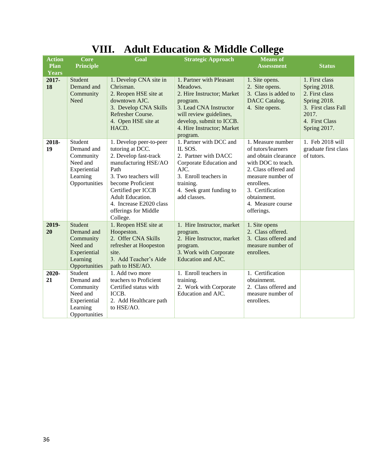|  | VIII. Adult Education & Middle College |  |  |
|--|----------------------------------------|--|--|
|--|----------------------------------------|--|--|

| <b>Action</b> | Core                                                                                        | Goal                                                                                                                                                                                                                                                              | <b>Strategic Approach</b>                                                                                                                                                                                 | <b>Means</b> of                                                                                                                                                                                                        |                                                                                                                                    |
|---------------|---------------------------------------------------------------------------------------------|-------------------------------------------------------------------------------------------------------------------------------------------------------------------------------------------------------------------------------------------------------------------|-----------------------------------------------------------------------------------------------------------------------------------------------------------------------------------------------------------|------------------------------------------------------------------------------------------------------------------------------------------------------------------------------------------------------------------------|------------------------------------------------------------------------------------------------------------------------------------|
| Plan          | <b>Principle</b>                                                                            |                                                                                                                                                                                                                                                                   |                                                                                                                                                                                                           | <b>Assessment</b>                                                                                                                                                                                                      | <b>Status</b>                                                                                                                      |
| <b>Years</b>  |                                                                                             |                                                                                                                                                                                                                                                                   |                                                                                                                                                                                                           |                                                                                                                                                                                                                        |                                                                                                                                    |
| 2017-<br>18   | <b>Student</b><br>Demand and<br>Community<br>Need                                           | 1. Develop CNA site in<br>Chrisman.<br>2. Reopen HSE site at<br>downtown AJC.<br>3. Develop CNA Skills<br>Refresher Course.<br>4. Open HSE site at<br>HACD.                                                                                                       | 1. Partner with Pleasant<br>Meadows.<br>2. Hire Instructor; Market<br>program.<br>3. Lead CNA Instructor<br>will review guidelines,<br>develop, submit to ICCB.<br>4. Hire Instructor; Market<br>program. | 1. Site opens.<br>2. Site opens.<br>3. Class is added to<br><b>DACC</b> Catalog.<br>4. Site opens.                                                                                                                     | 1. First class<br>Spring 2018.<br>2. First class<br>Spring 2018.<br>3. First class Fall<br>2017.<br>4. First Class<br>Spring 2017. |
| 2018-<br>19   | Student<br>Demand and<br>Community<br>Need and<br>Experiential<br>Learning<br>Opportunities | 1. Develop peer-to-peer<br>tutoring at DCC.<br>2. Develop fast-track<br>manufacturing HSE/AO<br>Path<br>3. Two teachers will<br>become Proficient<br>Certified per ICCB<br><b>Adult Education.</b><br>4. Increase E2020 class<br>offerings for Middle<br>College. | 1. Partner with DCC and<br>IL SOS.<br>2. Partner with DACC<br>Corporate Education and<br>AJC.<br>3. Enroll teachers in<br>training.<br>4. Seek grant funding to<br>add classes.                           | 1. Measure number<br>of tutors/learners<br>and obtain clearance<br>with DOC to teach.<br>2. Class offered and<br>measure number of<br>enrollees.<br>3. Certification<br>obtainment.<br>4. Measure course<br>offerings. | 1. Feb 2018 will<br>graduate first class<br>of tutors.                                                                             |
| 2019-<br>20   | Student<br>Demand and<br>Community<br>Need and<br>Experiential<br>Learning<br>Opportunities | 1. Reopen HSE site at<br>Hoopeston.<br>2. Offer CNA Skills<br>refresher at Hoopeston<br>site.<br>3. Add Teacher's Aide<br>path to HSE/AO.                                                                                                                         | 1. Hire Instructor, market<br>program.<br>2. Hire Instructor, market<br>program.<br>3. Work with Corporate<br>Education and AJC.                                                                          | 1. Site opens<br>2. Class offered.<br>3. Class offered and<br>measure number of<br>enrollees.                                                                                                                          |                                                                                                                                    |
| 2020-<br>21   | Student<br>Demand and<br>Community<br>Need and<br>Experiential<br>Learning<br>Opportunities | 1. Add two more<br>teachers to Proficient<br>Certified status with<br>ICCB.<br>2. Add Healthcare path<br>to HSE/AO.                                                                                                                                               | 1. Enroll teachers in<br>training.<br>2. Work with Corporate<br>Education and AJC.                                                                                                                        | 1. Certification<br>obtainment.<br>2. Class offered and<br>measure number of<br>enrollees.                                                                                                                             |                                                                                                                                    |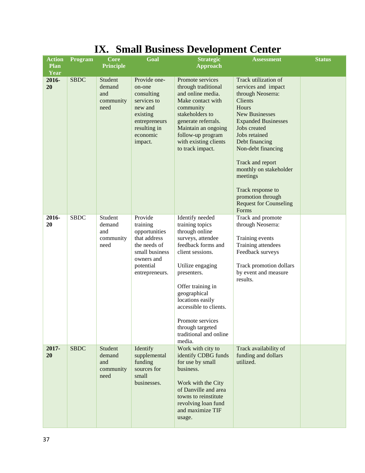| <b>Action</b>       | Program     | ≖∡≖∙<br><b>Core</b>                           | Goal                                                                                                                                | Dinan Dasmess Development Center<br><b>Strategic</b>                                                                                                                                                                                                                                                                  | <b>Assessment</b>                                                                                                                                                                                                                                                                                                                                                  | <b>Status</b> |
|---------------------|-------------|-----------------------------------------------|-------------------------------------------------------------------------------------------------------------------------------------|-----------------------------------------------------------------------------------------------------------------------------------------------------------------------------------------------------------------------------------------------------------------------------------------------------------------------|--------------------------------------------------------------------------------------------------------------------------------------------------------------------------------------------------------------------------------------------------------------------------------------------------------------------------------------------------------------------|---------------|
| <b>Plan</b><br>Year |             | <b>Principle</b>                              |                                                                                                                                     | <b>Approach</b>                                                                                                                                                                                                                                                                                                       |                                                                                                                                                                                                                                                                                                                                                                    |               |
| 2016-<br>20         | <b>SBDC</b> | Student<br>demand<br>and<br>community<br>need | Provide one-<br>on-one<br>consulting<br>services to<br>new and<br>existing<br>entrepreneurs<br>resulting in<br>economic<br>impact.  | Promote services<br>through traditional<br>and online media.<br>Make contact with<br>community<br>stakeholders to<br>generate referrals.<br>Maintain an ongoing<br>follow-up program<br>with existing clients<br>to track impact.                                                                                     | Track utilization of<br>services and impact<br>through Neoserra:<br>Clients<br>Hours<br><b>New Businesses</b><br><b>Expanded Businesses</b><br>Jobs created<br>Jobs retained<br>Debt financing<br>Non-debt financing<br>Track and report<br>monthly on stakeholder<br>meetings<br>Track response to<br>promotion through<br><b>Request for Counseling</b><br>Forms |               |
| 2016-<br>20         | <b>SBDC</b> | Student<br>demand<br>and<br>community<br>need | Provide<br>training<br>opportunities<br>that address<br>the needs of<br>small business<br>owners and<br>potential<br>entrepreneurs. | Identify needed<br>training topics<br>through online<br>surveys, attendee<br>feedback forms and<br>client sessions.<br>Utilize engaging<br>presenters.<br>Offer training in<br>geographical<br>locations easily<br>accessible to clients.<br>Promote services<br>through targeted<br>traditional and online<br>media. | Track and promote<br>through Neoserra:<br>Training events<br>Training attendees<br>Feedback surveys<br>Track promotion dollars<br>by event and measure<br>results.                                                                                                                                                                                                 |               |
| 2017-<br>20         | <b>SBDC</b> | Student<br>demand<br>and<br>community<br>need | Identify<br>supplemental<br>funding<br>sources for<br>small<br>businesses.                                                          | Work with city to<br>identify CDBG funds<br>for use by small<br>business.<br>Work with the City<br>of Danville and area<br>towns to reinstitute<br>revolving loan fund<br>and maximize TIF<br>usage.                                                                                                                  | Track availability of<br>funding and dollars<br>utilized.                                                                                                                                                                                                                                                                                                          |               |

### **IX. Small Business Development Center**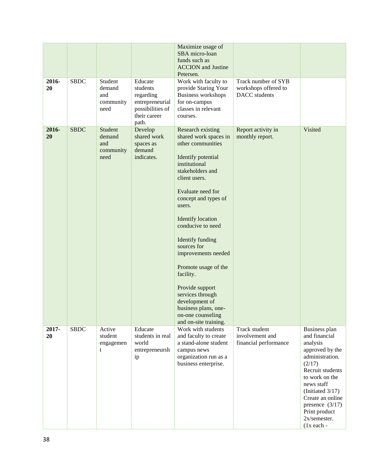|             |             |                                               |                                                                                                  | Maximize usage of<br>SBA micro-loan<br>funds such as<br><b>ACCION</b> and Justine<br>Petersen.                                                                                                                                                                                                                                                                                                                                                                                    |                                                              |                                                                                                                                                                                                                                                                 |
|-------------|-------------|-----------------------------------------------|--------------------------------------------------------------------------------------------------|-----------------------------------------------------------------------------------------------------------------------------------------------------------------------------------------------------------------------------------------------------------------------------------------------------------------------------------------------------------------------------------------------------------------------------------------------------------------------------------|--------------------------------------------------------------|-----------------------------------------------------------------------------------------------------------------------------------------------------------------------------------------------------------------------------------------------------------------|
| 2016-<br>20 | <b>SBDC</b> | Student<br>demand<br>and<br>community<br>need | Educate<br>students<br>regarding<br>entrepreneurial<br>possibilities of<br>their career<br>path. | Work with faculty to<br>provide Staring Your<br>Business workshops<br>for on-campus<br>classes in relevant<br>courses.                                                                                                                                                                                                                                                                                                                                                            | Track number of SYB<br>workshops offered to<br>DACC students |                                                                                                                                                                                                                                                                 |
| 2016-<br>20 | <b>SBDC</b> | Student<br>demand<br>and<br>community<br>need | Develop<br>shared work<br>spaces as<br>demand<br>indicates.                                      | Research existing<br>shared work spaces in<br>other communities<br>Identify potential<br>institutional<br>stakeholders and<br>client users.<br>Evaluate need for<br>concept and types of<br>users.<br><b>Identify</b> location<br>conducive to need<br>Identify funding<br>sources for<br>improvements needed<br>Promote usage of the<br>facility.<br>Provide support<br>services through<br>development of<br>business plans, one-<br>on-one counseling<br>and on-site training. | Report activity in<br>monthly report.                        | Visited                                                                                                                                                                                                                                                         |
| 2017-<br>20 | <b>SBDC</b> | Active<br>student<br>engagemen<br>t           | Educate<br>students in real<br>world<br>entrepreneursh<br>ip                                     | Work with students<br>and faculty to create<br>a stand-alone student<br>campus news<br>organization run as a<br>business enterprise.                                                                                                                                                                                                                                                                                                                                              | Track student<br>involvement and<br>financial performance    | Business plan<br>and financial<br>analysis<br>approved by the<br>administration.<br>(2/17)<br>Recruit students<br>to work on the<br>news staff<br>(Initiated $3/17$ )<br>Create an online<br>presence $(3/17)$<br>Print product<br>2x/semester.<br>$(1x$ each - |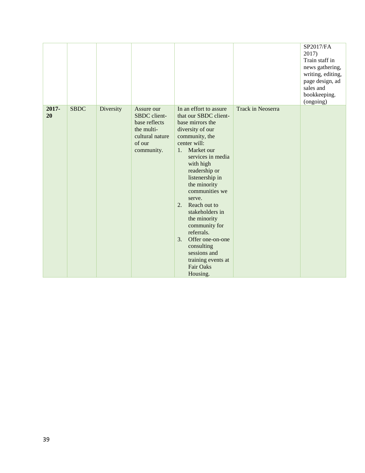|             |             |           |                                                                                                      |                                                                                                                                                                                                                                                                                                                                                                                                                                                                       |                   | SP2017/FA<br>2017)<br>Train staff in<br>news gathering,<br>writing, editing,<br>page design, ad<br>sales and<br>bookkeeping.<br>(ongoing) |
|-------------|-------------|-----------|------------------------------------------------------------------------------------------------------|-----------------------------------------------------------------------------------------------------------------------------------------------------------------------------------------------------------------------------------------------------------------------------------------------------------------------------------------------------------------------------------------------------------------------------------------------------------------------|-------------------|-------------------------------------------------------------------------------------------------------------------------------------------|
| 2017-<br>20 | <b>SBDC</b> | Diversity | Assure our<br>SBDC client-<br>base reflects<br>the multi-<br>cultural nature<br>of our<br>community. | In an effort to assure<br>that our SBDC client-<br>base mirrors the<br>diversity of our<br>community, the<br>center will:<br>Market our<br>1.<br>services in media<br>with high<br>readership or<br>listenership in<br>the minority<br>communities we<br>serve.<br>Reach out to<br>2.<br>stakeholders in<br>the minority<br>community for<br>referrals.<br>Offer one-on-one<br>3.<br>consulting<br>sessions and<br>training events at<br><b>Fair Oaks</b><br>Housing. | Track in Neoserra |                                                                                                                                           |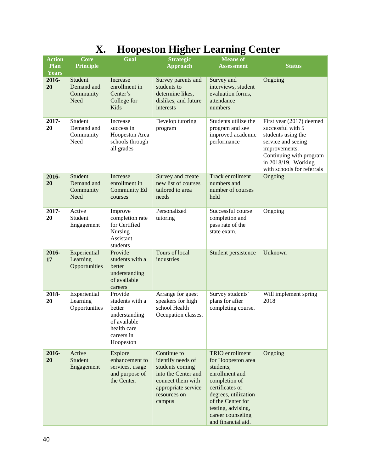| <b>Action</b><br><b>Plan</b> | Core<br><b>Principle</b>                   | Goal                                                                                                            | o<br><b>Strategic</b><br><b>Approach</b>                                                                                                         | <b>Means</b> of<br><b>Assessment</b>                                                                                                                                                                                   | <b>Status</b>                                                                                                                                                                              |
|------------------------------|--------------------------------------------|-----------------------------------------------------------------------------------------------------------------|--------------------------------------------------------------------------------------------------------------------------------------------------|------------------------------------------------------------------------------------------------------------------------------------------------------------------------------------------------------------------------|--------------------------------------------------------------------------------------------------------------------------------------------------------------------------------------------|
| <b>Years</b>                 |                                            |                                                                                                                 |                                                                                                                                                  |                                                                                                                                                                                                                        |                                                                                                                                                                                            |
| 2016-<br>20                  | Student<br>Demand and<br>Community<br>Need | Increase<br>enrollment in<br>Center's<br>College for<br>Kids                                                    | Survey parents and<br>students to<br>determine likes,<br>dislikes, and future<br>interests                                                       | Survey and<br>interviews, student<br>evaluation forms,<br>attendance<br>numbers                                                                                                                                        | Ongoing                                                                                                                                                                                    |
| 2017-<br>20                  | Student<br>Demand and<br>Community<br>Need | Increase<br>success in<br>Hoopeston Area<br>schools through<br>all grades                                       | Develop tutoring<br>program                                                                                                                      | Students utilize the<br>program and see<br>improved academic<br>performance                                                                                                                                            | First year (2017) deemed<br>successful with 5<br>students using the<br>service and seeing<br>improvements.<br>Continuing with program<br>in 2018/19. Working<br>with schools for referrals |
| 2016-<br>20                  | Student<br>Demand and<br>Community<br>Need | Increase<br>enrollment in<br><b>Community Ed</b><br>courses                                                     | Survey and create<br>new list of courses<br>tailored to area<br>needs                                                                            | Track enrollment<br>numbers and<br>number of courses<br>held                                                                                                                                                           | Ongoing                                                                                                                                                                                    |
| $2017 -$<br>20               | Active<br>Student<br>Engagement            | Improve<br>completion rate<br>for Certified<br>Nursing<br>Assistant<br>students                                 | Personalized<br>tutoring                                                                                                                         | Successful course<br>completion and<br>pass rate of the<br>state exam.                                                                                                                                                 | Ongoing                                                                                                                                                                                    |
| 2016-<br>17                  | Experiential<br>Learning<br>Opportunities  | Provide<br>students with a<br>better<br>understanding<br>of available<br>careers                                | Tours of local<br>industries                                                                                                                     | Student persistence                                                                                                                                                                                                    | Unknown                                                                                                                                                                                    |
| 2018-<br>20                  | Experiential<br>Learning<br>Opportunities  | Provide<br>students with a<br>better<br>understanding<br>of available<br>health care<br>careers in<br>Hoopeston | Arrange for guest<br>speakers for high<br>school Health<br>Occupation classes.                                                                   | Survey students'<br>plans for after<br>completing course.                                                                                                                                                              | Will implement spring<br>2018                                                                                                                                                              |
| 2016-<br>20                  | Active<br><b>Student</b><br>Engagement     | Explore<br>enhancement to<br>services, usage<br>and purpose of<br>the Center.                                   | Continue to<br>identify needs of<br>students coming<br>into the Center and<br>connect them with<br>appropriate service<br>resources on<br>campus | TRIO enrollment<br>for Hoopeston area<br>students;<br>enrollment and<br>completion of<br>certificates or<br>degrees, utilization<br>of the Center for<br>testing, advising,<br>career counseling<br>and financial aid. | Ongoing                                                                                                                                                                                    |

## **X. Hoopeston Higher Learning Center**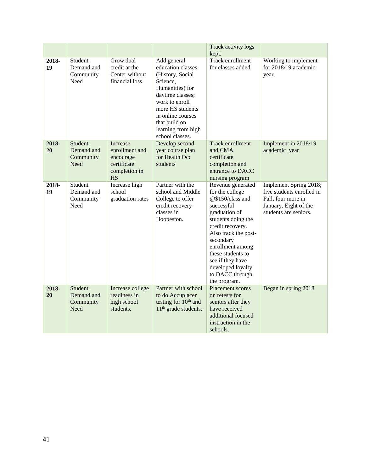|             |                                                   |                                                                                      |                                                                                                                                                                                                                              | Track activity logs<br>kept.                                                                                                                                                                                                                                                                |                                                                                                                             |
|-------------|---------------------------------------------------|--------------------------------------------------------------------------------------|------------------------------------------------------------------------------------------------------------------------------------------------------------------------------------------------------------------------------|---------------------------------------------------------------------------------------------------------------------------------------------------------------------------------------------------------------------------------------------------------------------------------------------|-----------------------------------------------------------------------------------------------------------------------------|
| 2018-<br>19 | Student<br>Demand and<br>Community<br>Need        | Grow dual<br>credit at the<br>Center without<br>financial loss                       | Add general<br>education classes<br>(History, Social<br>Science,<br>Humanities) for<br>daytime classes;<br>work to enroll<br>more HS students<br>in online courses<br>that build on<br>learning from high<br>school classes. | Track enrollment<br>for classes added                                                                                                                                                                                                                                                       | Working to implement<br>for 2018/19 academic<br>year.                                                                       |
| 2018-<br>20 | Student<br>Demand and<br>Community<br><b>Need</b> | Increase<br>enrollment and<br>encourage<br>certificate<br>completion in<br><b>HS</b> | Develop second<br>year course plan<br>for Health Occ<br>students                                                                                                                                                             | <b>Track enrollment</b><br>and CMA<br>certificate<br>completion and<br>entrance to DACC<br>nursing program                                                                                                                                                                                  | Implement in 2018/19<br>academic year                                                                                       |
| 2018-<br>19 | Student<br>Demand and<br>Community<br>Need        | Increase high<br>school<br>graduation rates                                          | Partner with the<br>school and Middle<br>College to offer<br>credit recovery<br>classes in<br>Hoopeston.                                                                                                                     | Revenue generated<br>for the college<br>@\$150/class and<br>successful<br>graduation of<br>students doing the<br>credit recovery.<br>Also track the post-<br>secondary<br>enrollment among<br>these students to<br>see if they have<br>developed loyalty<br>to DACC through<br>the program. | Implement Spring 2018;<br>five students enrolled in<br>Fall, four more in<br>January. Eight of the<br>students are seniors. |
| 2018-<br>20 | Student<br>Demand and<br>Community<br>Need        | Increase college<br>readiness in<br>high school<br>students.                         | Partner with school<br>to do Accuplacer<br>testing for 10 <sup>th</sup> and<br>11 <sup>th</sup> grade students.                                                                                                              | <b>Placement scores</b><br>on retests for<br>seniors after they<br>have received<br>additional focused<br>instruction in the<br>schools.                                                                                                                                                    | Began in spring 2018                                                                                                        |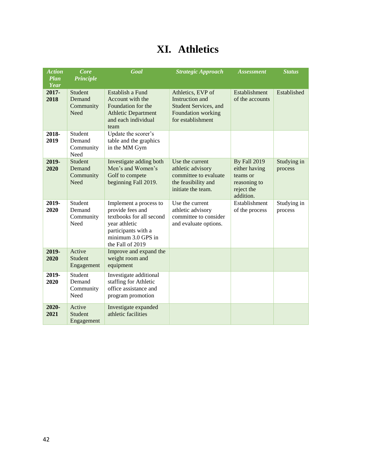## **XI. Athletics**

| <b>Action</b>       | <b>Core</b>                                   | Goal                                                                                                                                                     | <b>Strategic Approach</b>                                                                                        | <b>Assessment</b>                                                                    | <b>Status</b>          |
|---------------------|-----------------------------------------------|----------------------------------------------------------------------------------------------------------------------------------------------------------|------------------------------------------------------------------------------------------------------------------|--------------------------------------------------------------------------------------|------------------------|
| <b>Plan</b><br>Year | <b>Principle</b>                              |                                                                                                                                                          |                                                                                                                  |                                                                                      |                        |
| 2017-<br>2018       | <b>Student</b><br>Demand<br>Community<br>Need | Establish a Fund<br>Account with the<br>Foundation for the<br><b>Athletic Department</b><br>and each individual<br>team                                  | Athletics, EVP of<br>Instruction and<br><b>Student Services</b> , and<br>Foundation working<br>for establishment | Establishment<br>of the accounts                                                     | Established            |
| 2018-<br>2019       | Student<br>Demand<br>Community<br>Need        | Update the scorer's<br>table and the graphics<br>in the MM Gym                                                                                           |                                                                                                                  |                                                                                      |                        |
| 2019-<br>2020       | <b>Student</b><br>Demand<br>Community<br>Need | Investigate adding both<br>Men's and Women's<br>Golf to compete<br>beginning Fall 2019.                                                                  | Use the current<br>athletic advisory<br>committee to evaluate<br>the feasibility and<br>initiate the team.       | By Fall 2019<br>either having<br>teams or<br>reasoning to<br>reject the<br>addition. | Studying in<br>process |
| 2019-<br>2020       | Student<br>Demand<br>Community<br>Need        | Implement a process to<br>provide fees and<br>textbooks for all second<br>year athletic<br>participants with a<br>minimum 3.0 GPS in<br>the Fall of 2019 | Use the current<br>athletic advisory<br>committee to consider<br>and evaluate options.                           | Establishment<br>of the process                                                      | Studying in<br>process |
| 2019-<br>2020       | Active<br>Student<br>Engagement               | Improve and expand the<br>weight room and<br>equipment                                                                                                   |                                                                                                                  |                                                                                      |                        |
| 2019-<br>2020       | Student<br>Demand<br>Community<br>Need        | Investigate additional<br>staffing for Athletic<br>office assistance and<br>program promotion                                                            |                                                                                                                  |                                                                                      |                        |
| 2020-<br>2021       | Active<br><b>Student</b><br>Engagement        | Investigate expanded<br>athletic facilities                                                                                                              |                                                                                                                  |                                                                                      |                        |